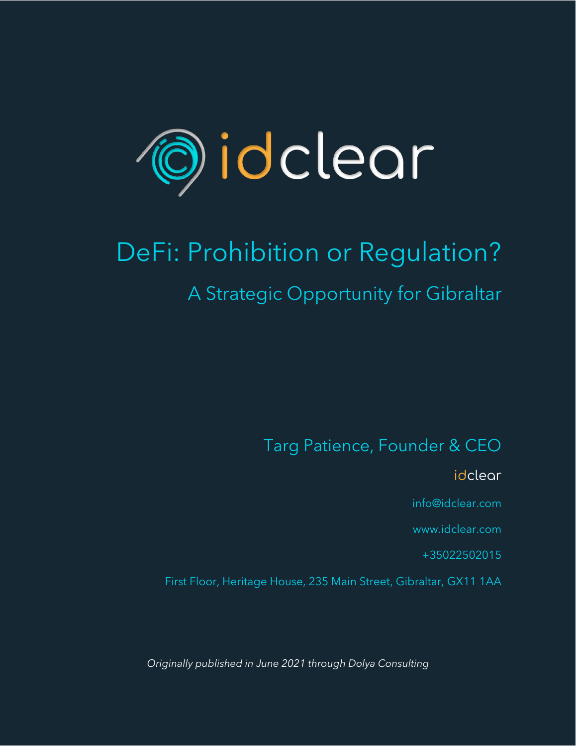

# DeFi: Prohibition or Regulation? A Strategic Opportunity for Gibraltar

Targ Patience, Founder & CEO

idclear

info@idclear.com

www.idclear.com

+35022502015

First Floor, Heritage House, 235 Main Street, Gibraltar, GX11 1AA

*Originally published in June 2021 through Dolya Consulting*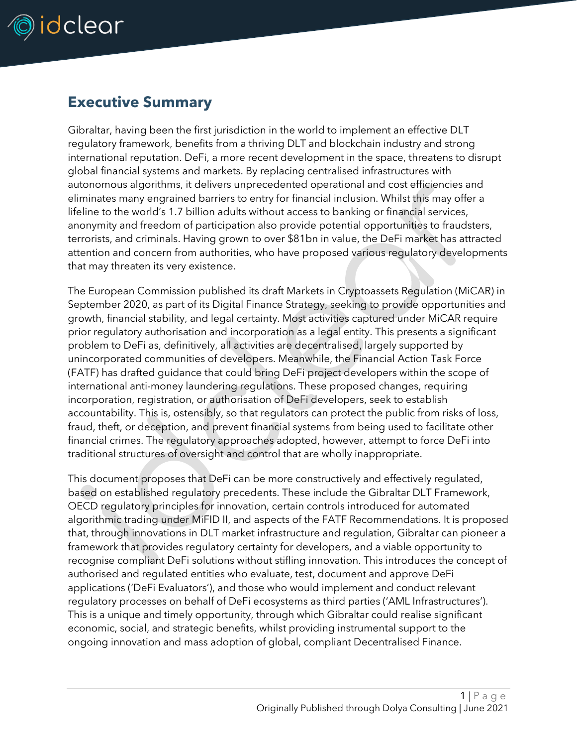

# <span id="page-1-0"></span>**Executive Summary**

Gibraltar, having been the first jurisdiction in the world to implement an effective DLT regulatory framework, benefits from a thriving DLT and blockchain industry and strong international reputation. DeFi, a more recent development in the space, threatens to disrupt global financial systems and markets. By replacing centralised infrastructures with autonomous algorithms, it delivers unprecedented operational and cost efficiencies and eliminates many engrained barriers to entry for financial inclusion. Whilst this may offer a lifeline to the world's 1.7 billion adults without access to banking or financial services, anonymity and freedom of participation also provide potential opportunities to fraudsters, terrorists, and criminals. Having grown to over \$81bn in value, the DeFi market has attracted attention and concern from authorities, who have proposed various regulatory developments that may threaten its very existence.

The European Commission published its draft Markets in Cryptoassets Regulation (MiCAR) in September 2020, as part of its Digital Finance Strategy, seeking to provide opportunities and growth, financial stability, and legal certainty. Most activities captured under MiCAR require prior regulatory authorisation and incorporation as a legal entity. This presents a significant problem to DeFi as, definitively, all activities are decentralised, largely supported by unincorporated communities of developers. Meanwhile, the Financial Action Task Force (FATF) has drafted guidance that could bring DeFi project developers within the scope of international anti-money laundering regulations. These proposed changes, requiring incorporation, registration, or authorisation of DeFi developers, seek to establish accountability. This is, ostensibly, so that regulators can protect the public from risks of loss, fraud, theft, or deception, and prevent financial systems from being used to facilitate other financial crimes. The regulatory approaches adopted, however, attempt to force DeFi into traditional structures of oversight and control that are wholly inappropriate.

This document proposes that DeFi can be more constructively and effectively regulated, based on established regulatory precedents. These include the Gibraltar DLT Framework, OECD regulatory principles for innovation, certain controls introduced for automated algorithmic trading under MiFID II, and aspects of the FATF Recommendations. It is proposed that, through innovations in DLT market infrastructure and regulation, Gibraltar can pioneer a framework that provides regulatory certainty for developers, and a viable opportunity to recognise compliant DeFi solutions without stifling innovation. This introduces the concept of authorised and regulated entities who evaluate, test, document and approve DeFi applications ('DeFi Evaluators'), and those who would implement and conduct relevant regulatory processes on behalf of DeFi ecosystems as third parties ('AML Infrastructures'). This is a unique and timely opportunity, through which Gibraltar could realise significant economic, social, and strategic benefits, whilst providing instrumental support to the ongoing innovation and mass adoption of global, compliant Decentralised Finance.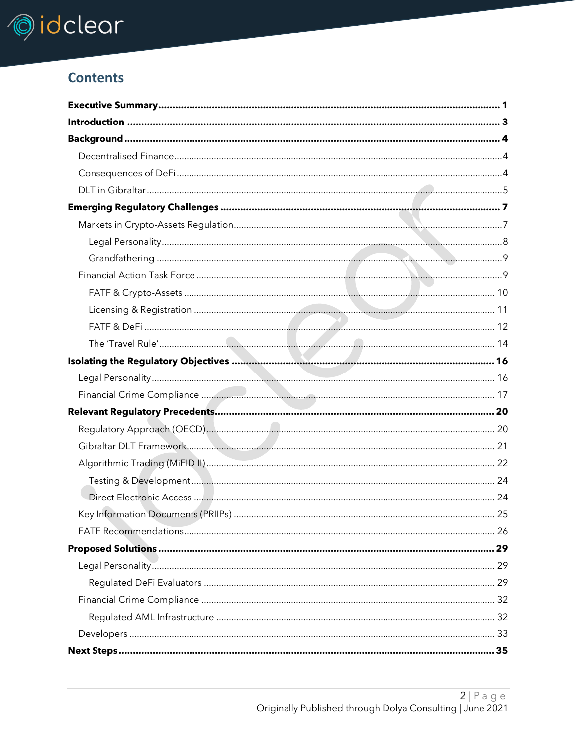

# **Contents**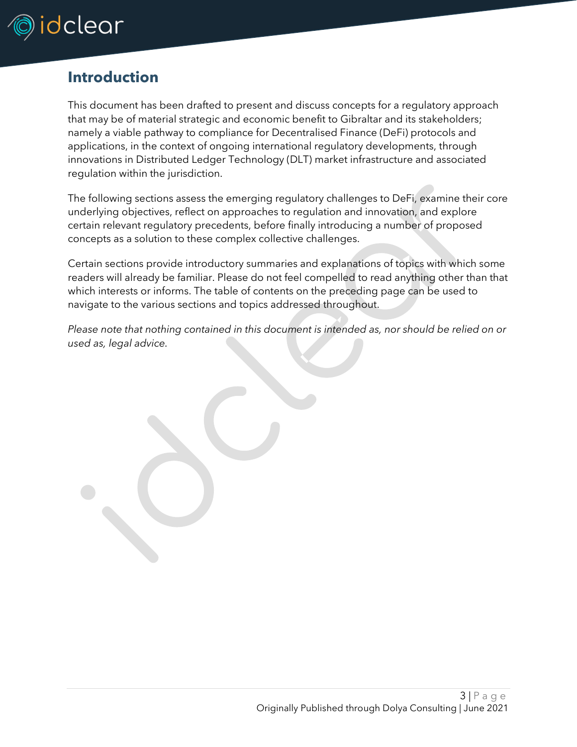

# <span id="page-3-0"></span>**Introduction**

This document has been drafted to present and discuss concepts for a regulatory approach that may be of material strategic and economic benefit to Gibraltar and its stakeholders; namely a viable pathway to compliance for Decentralised Finance (DeFi) protocols and applications, in the context of ongoing international regulatory developments, through innovations in Distributed Ledger Technology (DLT) market infrastructure and associated regulation within the jurisdiction.

The following sections assess the emerging regulatory challenges to DeFi, examine their core underlying objectives, reflect on approaches to regulation and innovation, and explore certain relevant regulatory precedents, before finally introducing a number of proposed concepts as a solution to these complex collective challenges.

Certain sections provide introductory summaries and explanations of topics with which some readers will already be familiar. Please do not feel compelled to read anything other than that which interests or informs. The table of contents on the preceding page can be used to navigate to the various sections and topics addressed throughout.

*Please note that nothing contained in this document is intended as, nor should be relied on or used as, legal advice.*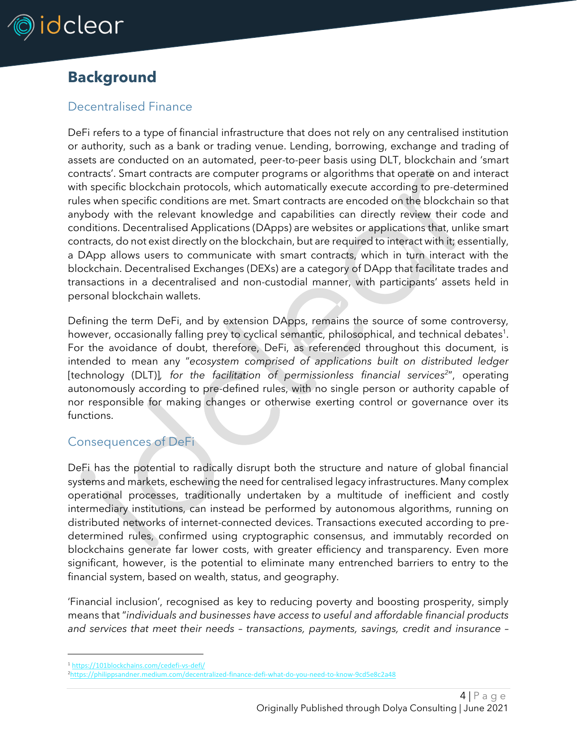

# <span id="page-4-0"></span>**Background**

## <span id="page-4-1"></span>Decentralised Finance

DeFi refers to a type of financial infrastructure that does not rely on any centralised institution or authority, such as a bank or trading venue. Lending, borrowing, exchange and trading of assets are conducted on an automated, peer-to-peer basis using DLT, blockchain and 'smart contracts'. Smart contracts are computer programs or algorithms that operate on and interact with specific blockchain protocols, which automatically execute according to pre-determined rules when specific conditions are met. Smart contracts are encoded on the blockchain so that anybody with the relevant knowledge and capabilities can directly review their code and conditions. Decentralised Applications (DApps) are websites or applications that, unlike smart contracts, do not exist directly on the blockchain, but are required to interact with it; essentially, a DApp allows users to communicate with smart contracts, which in turn interact with the blockchain. Decentralised Exchanges (DEXs) are a category of DApp that facilitate trades and transactions in a decentralised and non-custodial manner, with participants' assets held in personal blockchain wallets.

Defining the term DeFi, and by extension DApps, remains the source of some controversy, however, occasionally falling prey to cyclical semantic, philosophical, and technical debates<sup>1</sup>. For the avoidance of doubt, therefore, DeFi, as referenced throughout this document, is intended to mean any "*ecosystem comprised of applications built on distributed ledger*  [technology (DLT)]*, for the facilitation of permissionless financial services<sup>2</sup>* ", operating autonomously according to pre-defined rules, with no single person or authority capable of nor responsible for making changes or otherwise exerting control or governance over its functions.

## <span id="page-4-2"></span>Consequences of DeFi

DeFi has the potential to radically disrupt both the structure and nature of global financial systems and markets, eschewing the need for centralised legacy infrastructures. Many complex operational processes, traditionally undertaken by a multitude of inefficient and costly intermediary institutions, can instead be performed by autonomous algorithms, running on distributed networks of internet-connected devices. Transactions executed according to predetermined rules, confirmed using cryptographic consensus, and immutably recorded on blockchains generate far lower costs, with greater efficiency and transparency. Even more significant, however, is the potential to eliminate many entrenched barriers to entry to the financial system, based on wealth, status, and geography.

'Financial inclusion', recognised as key to reducing poverty and boosting prosperity, simply means that "*individuals and businesses have access to useful and affordable financial products and services that meet their needs – transactions, payments, savings, credit and insurance –*

<sup>1</sup> <https://101blockchains.com/cedefi-vs-defi/>

<sup>2</sup><https://philippsandner.medium.com/decentralized-finance-defi-what-do-you-need-to-know-9cd5e8c2a48>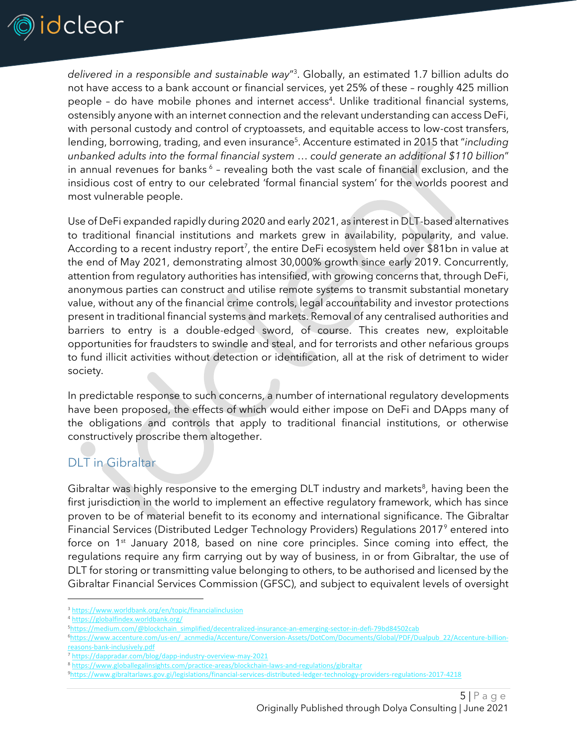

*delivered in a responsible and sustainable way*" 3 . Globally, an estimated 1.7 billion adults do not have access to a bank account or financial services, yet 25% of these – roughly 425 million people - do have mobile phones and internet access<sup>4</sup>. Unlike traditional financial systems, ostensibly anyone with an internet connection and the relevant understanding can access DeFi, with personal custody and control of cryptoassets, and equitable access to low-cost transfers, lending, borrowing, trading, and even insurance<sup>5</sup> . Accenture estimated in 2015 that "*including unbanked adults into the formal financial system* … *could generate an additional \$110 billion*" in annual revenues for banks <sup>6</sup> - revealing both the vast scale of financial exclusion, and the insidious cost of entry to our celebrated 'formal financial system' for the worlds poorest and most vulnerable people.

Use of DeFi expanded rapidly during 2020 and early 2021, as interest in DLT-based alternatives to traditional financial institutions and markets grew in availability, popularity, and value. According to a recent industry report<sup>7</sup>, the entire DeFi ecosystem held over \$81bn in value at the end of May 2021, demonstrating almost 30,000% growth since early 2019. Concurrently, attention from regulatory authorities has intensified, with growing concerns that, through DeFi, anonymous parties can construct and utilise remote systems to transmit substantial monetary value, without any of the financial crime controls, legal accountability and investor protections present in traditional financial systems and markets. Removal of any centralised authorities and barriers to entry is a double-edged sword, of course. This creates new, exploitable opportunities for fraudsters to swindle and steal, and for terrorists and other nefarious groups to fund illicit activities without detection or identification, all at the risk of detriment to wider society.

In predictable response to such concerns, a number of international regulatory developments have been proposed, the effects of which would either impose on DeFi and DApps many of the obligations and controls that apply to traditional financial institutions, or otherwise constructively proscribe them altogether.

## <span id="page-5-0"></span>DLT in Gibraltar

Gibraltar was highly responsive to the emerging DLT industry and markets<sup>8</sup>, having been the first jurisdiction in the world to implement an effective regulatory framework, which has since proven to be of material benefit to its economy and international significance. The Gibraltar Financial Services (Distributed Ledger Technology Providers) Regulations 2017<sup>9</sup> entered into force on 1<sup>st</sup> January 2018, based on nine core principles. Since coming into effect, the regulations require any firm carrying out by way of business, in or from Gibraltar, the use of DLT for storing or transmitting value belonging to others, to be authorised and licensed by the Gibraltar Financial Services Commission (GFSC), and subject to equivalent levels of oversight

<sup>3</sup> <https://www.worldbank.org/en/topic/financialinclusion>

<sup>4</sup> <https://globalfindex.worldbank.org/>

<sup>5</sup>[https://medium.com/@blockchain\\_simplified/decentralized-insurance-an-emerging-sector-in-defi-79bd84502cab](https://medium.com/@blockchain_simplified/decentralized-insurance-an-emerging-sector-in-defi-79bd84502cab)

<sup>6</sup>[https://www.accenture.com/us-en/\\_acnmedia/Accenture/Conversion-Assets/DotCom/Documents/Global/PDF/Dualpub\\_22/Accenture-billion](https://www.accenture.com/us-en/_acnmedia/Accenture/Conversion-Assets/DotCom/Documents/Global/PDF/Dualpub_22/Accenture-billion-reasons-bank-inclusively.pdf)[reasons-bank-inclusively.pdf](https://www.accenture.com/us-en/_acnmedia/Accenture/Conversion-Assets/DotCom/Documents/Global/PDF/Dualpub_22/Accenture-billion-reasons-bank-inclusively.pdf)

<sup>7</sup> <https://dappradar.com/blog/dapp-industry-overview-may-2021>

<sup>8</sup> <https://www.globallegalinsights.com/practice-areas/blockchain-laws-and-regulations/gibraltar>

<sup>9</sup><https://www.gibraltarlaws.gov.gi/legislations/financial-services-distributed-ledger-technology-providers-regulations-2017-4218>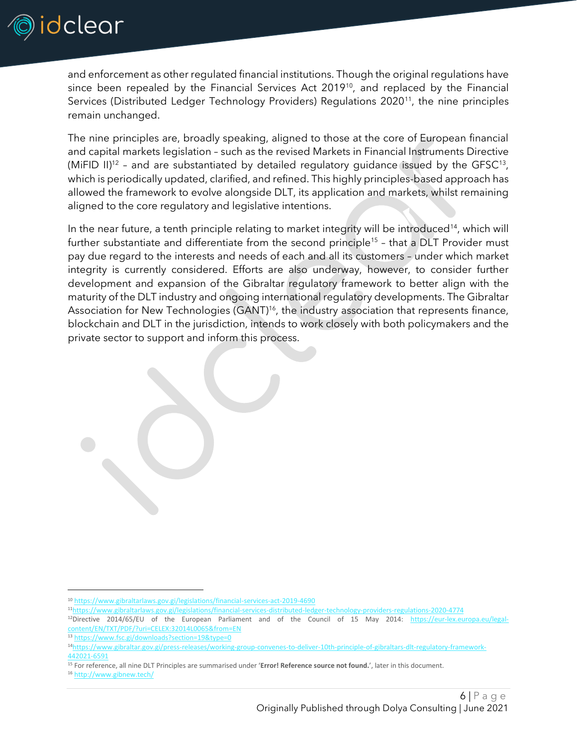

and enforcement as other regulated financial institutions. Though the original regulations have since been repealed by the Financial Services Act 2019<sup>10</sup>, and replaced by the Financial Services (Distributed Ledger Technology Providers) Regulations 2020<sup>11</sup>, the nine principles remain unchanged.

The nine principles are, broadly speaking, aligned to those at the core of European financial and capital markets legislation – such as the revised Markets in Financial Instruments Directive (MiFID II)<sup>12</sup> - and are substantiated by detailed regulatory guidance issued by the GFSC<sup>13</sup>, which is periodically updated, clarified, and refined. This highly principles-based approach has allowed the framework to evolve alongside DLT, its application and markets, whilst remaining aligned to the core regulatory and legislative intentions.

In the near future, a tenth principle relating to market integrity will be introduced<sup>14</sup>, which will further substantiate and differentiate from the second principle<sup>15</sup> - that a DLT Provider must pay due regard to the interests and needs of each and all its customers – under which market integrity is currently considered. Efforts are also underway, however, to consider further development and expansion of the Gibraltar regulatory framework to better align with the maturity of the DLT industry and ongoing international regulatory developments. The Gibraltar Association for New Technologies  $(GANT)^{16}$ , the industry association that represents finance, blockchain and DLT in the jurisdiction, intends to work closely with both policymakers and the private sector to support and inform this process.

<sup>10</sup> <https://www.gibraltarlaws.gov.gi/legislations/financial-services-act-2019-4690>

<sup>11</sup><https://www.gibraltarlaws.gov.gi/legislations/financial-services-distributed-ledger-technology-providers-regulations-2020-4774> 12Directive 2014/65/EU of the European Parliament and of the Council of 15 May 2014: [https://eur-lex.europa.eu/legal](https://eur-lex.europa.eu/legal-content/EN/TXT/PDF/?uri=CELEX:32014L0065&from=EN)[content/EN/TXT/PDF/?uri=CELEX:32014L0065&from=EN](https://eur-lex.europa.eu/legal-content/EN/TXT/PDF/?uri=CELEX:32014L0065&from=EN)

<sup>13</sup> <https://www.fsc.gi/downloads?section=19&type=0>

<sup>14</sup>[https://www.gibraltar.gov.gi/press-releases/working-group-convenes-to-deliver-10th-principle-of-gibraltars-dlt-regulatory-framework-](https://www.gibraltar.gov.gi/press-releases/working-group-convenes-to-deliver-10th-principle-of-gibraltars-dlt-regulatory-framework-442021-6591)[442021-6591](https://www.gibraltar.gov.gi/press-releases/working-group-convenes-to-deliver-10th-principle-of-gibraltars-dlt-regulatory-framework-442021-6591)

<sup>15</sup> For reference, all nine DLT Principles are summarised under '**Error! Reference source not found.**', later in this document. <sup>16</sup> <http://www.gibnew.tech/>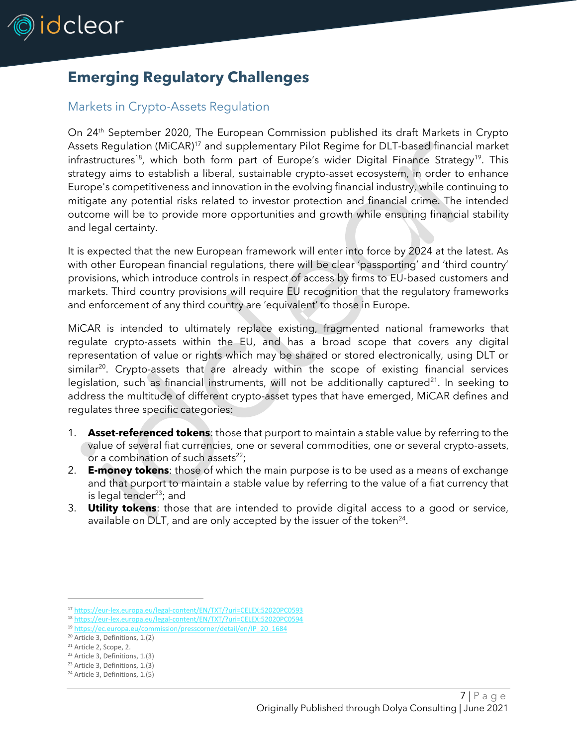

# <span id="page-7-0"></span>**Emerging Regulatory Challenges**

## <span id="page-7-1"></span>Markets in Crypto-Assets Regulation

On 24<sup>th</sup> September 2020, The European Commission published its draft Markets in Crypto Assets Regulation (MiCAR)<sup>17</sup> and supplementary Pilot Regime for DLT-based financial market infrastructures<sup>18</sup>, which both form part of Europe's wider Digital Finance Strategy<sup>19</sup>. This strategy aims to establish a liberal, sustainable crypto-asset ecosystem, in order to enhance Europe's competitiveness and innovation in the evolving financial industry, while continuing to mitigate any potential risks related to investor protection and financial crime. The intended outcome will be to provide more opportunities and growth while ensuring financial stability and legal certainty.

It is expected that the new European framework will enter into force by 2024 at the latest. As with other European financial regulations, there will be clear 'passporting' and 'third country' provisions, which introduce controls in respect of access by firms to EU-based customers and markets. Third country provisions will require EU recognition that the regulatory frameworks and enforcement of any third country are 'equivalent' to those in Europe.

MiCAR is intended to ultimately replace existing, fragmented national frameworks that regulate crypto-assets within the EU, and has a broad scope that covers any digital representation of value or rights which may be shared or stored electronically, using DLT or similar <sup>20</sup>. Crypto-assets that are already within the scope of existing financial services legislation, such as financial instruments, will not be additionally captured<sup>21</sup>. In seeking to address the multitude of different crypto-asset types that have emerged, MiCAR defines and regulates three specific categories:

- 1. **Asset-referenced tokens**: those that purport to maintain a stable value by referring to the value of several fiat currencies, one or several commodities, one or several crypto-assets, or a combination of such assets $22$ :
- 2. **E-money tokens**: those of which the main purpose is to be used as a means of exchange and that purport to maintain a stable value by referring to the value of a fiat currency that is legal tender $^{23}$ ; and
- 3. **Utility tokens**: those that are intended to provide digital access to a good or service, available on  $\mathsf{DLT},$  and are only accepted by the issuer of the token $^{24}.$

<sup>22</sup> Article 3, Definitions, 1.(3)

<sup>17</sup> <https://eur-lex.europa.eu/legal-content/EN/TXT/?uri=CELEX:52020PC0593>

<sup>18</sup> <https://eur-lex.europa.eu/legal-content/EN/TXT/?uri=CELEX:52020PC0594>

<sup>19</sup> [https://ec.europa.eu/commission/presscorner/detail/en/IP\\_20\\_1684](https://ec.europa.eu/commission/presscorner/detail/en/IP_20_1684)

<sup>20</sup> Article 3, Definitions, 1.(2)

<sup>&</sup>lt;sup>21</sup> Article 2, Scope, 2.

<sup>23</sup> Article 3, Definitions, 1.(3)

<sup>24</sup> Article 3, Definitions, 1.(5)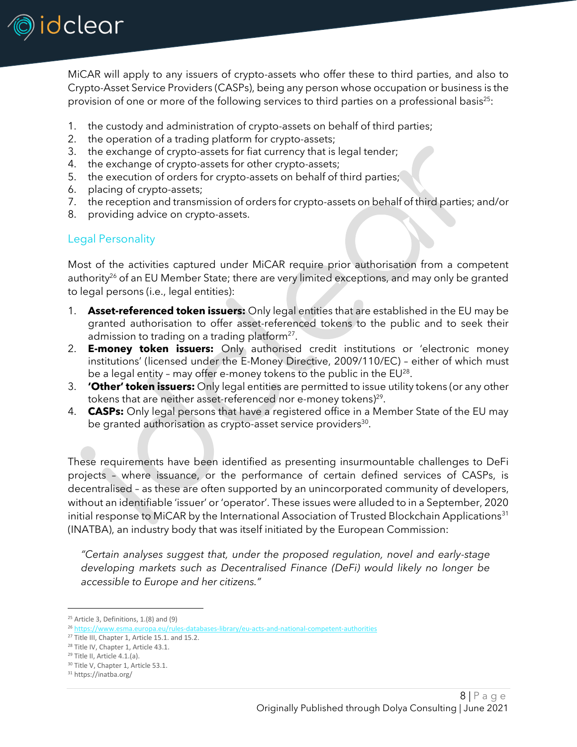

MiCAR will apply to any issuers of crypto-assets who offer these to third parties, and also to Crypto-Asset Service Providers (CASPs), being any person whose occupation or business is the provision of one or more of the following services to third parties on a professional basis $^{25}$ :

- 1. the custody and administration of crypto-assets on behalf of third parties;
- 2. the operation of a trading platform for crypto-assets;
- 3. the exchange of crypto-assets for fiat currency that is legal tender;
- 4. the exchange of crypto-assets for other crypto-assets;
- 5. the execution of orders for crypto-assets on behalf of third parties;
- 6. placing of crypto-assets;
- 7. the reception and transmission of orders for crypto-assets on behalf of third parties; and/or
- <span id="page-8-0"></span>8. providing advice on crypto-assets.

#### Legal Personality

Most of the activities captured under MiCAR require prior authorisation from a competent authority<sup>26</sup> of an EU Member State; there are very limited exceptions, and may only be granted to legal persons (i.e., legal entities):

- 1. **Asset-referenced token issuers:** Only legal entities that are established in the EU may be granted authorisation to offer asset-referenced tokens to the public and to seek their admission to trading on a trading platform $^{27}$ .
- 2. **E-money token issuers:** Only authorised credit institutions or 'electronic money institutions' (licensed under the E-Money Directive, 2009/110/EC) – either of which must be a legal entity - may offer e-money tokens to the public in the EU $^{28}$ .
- 3. **'Other' token issuers:** Only legal entities are permitted to issue utility tokens (or any other tokens that are neither asset-referenced nor e-money tokens)<sup>29</sup>.
- 4. **CASPs:** Only legal persons that have a registered office in a Member State of the EU may be granted authorisation as crypto-asset service providers $^{30}$ .

These requirements have been identified as presenting insurmountable challenges to DeFi projects – where issuance, or the performance of certain defined services of CASPs, is decentralised – as these are often supported by an unincorporated community of developers, without an identifiable 'issuer' or 'operator'. These issues were alluded to in a September, 2020 initial response to MiCAR by the International Association of Trusted Blockchain Applications<sup>31</sup> (INATBA), an industry body that was itself initiated by the European Commission:

*"Certain analyses suggest that, under the proposed regulation, novel and early-stage developing markets such as Decentralised Finance (DeFi) would likely no longer be accessible to Europe and her citizens."*

 $25$  Article 3, Definitions, 1.(8) and (9)

<sup>26</sup> <https://www.esma.europa.eu/rules-databases-library/eu-acts-and-national-competent-authorities>

<sup>&</sup>lt;sup>27</sup> Title III, Chapter 1, Article 15.1. and 15.2.

<sup>&</sup>lt;sup>28</sup> Title IV, Chapter 1, Article 43.1.

<sup>29</sup> Title II, Article 4.1.(a).

<sup>&</sup>lt;sup>30</sup> Title V, Chapter 1, Article 53.1.

<sup>31</sup> https://inatba.org/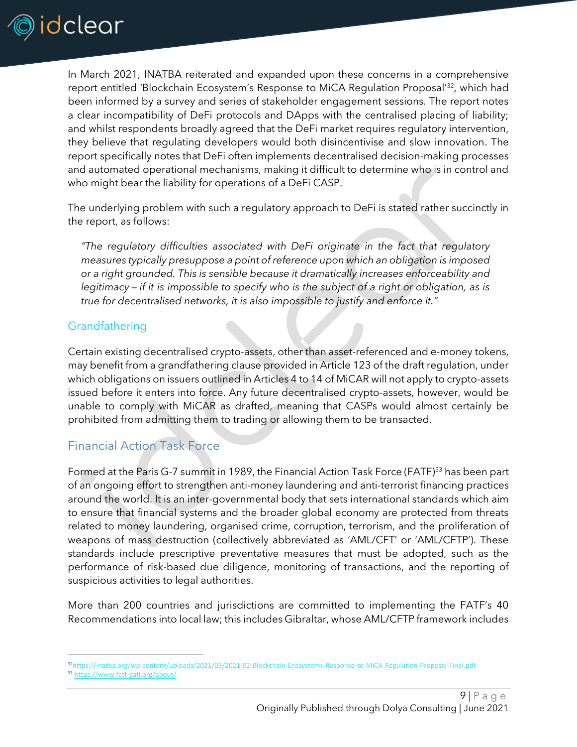

In March 2021, INATBA reiterated and expanded upon these concerns in a comprehensive report entitled 'Blockchain Ecosystem's Response to MiCA Regulation Proposal<sup>'32</sup>, which had been informed by a survey and series of stakeholder engagement sessions. The report notes a clear incompatibility of DeFi protocols and DApps with the centralised placing of liability; and whilst respondents broadly agreed that the DeFi market requires regulatory intervention, they believe that regulating developers would both disincentivise and slow innovation. The report specifically notes that DeFi often implements decentralised decision-making processes and automated operational mechanisms, making it difficult to determine who is in control and who might bear the liability for operations of a DeFi CASP.

The underlying problem with such a regulatory approach to DeFi is stated rather succinctly in the report, as follows:

*"The regulatory difficulties associated with DeFi originate in the fact that regulatory measures typically presuppose a point of reference upon which an obligation is imposed or a right grounded. This is sensible because it dramatically increases enforceability and legitimacy — if it is impossible to specify who is the subject of a right or obligation, as is true for decentralised networks, it is also impossible to justify and enforce it."*

#### <span id="page-9-0"></span>Grandfathering

Certain existing decentralised crypto-assets, other than asset-referenced and e-money tokens, may benefit from a grandfathering clause provided in Article 123 of the draft regulation, under which obligations on issuers outlined in Articles 4 to 14 of MiCAR will not apply to crypto-assets issued before it enters into force. Any future decentralised crypto-assets, however, would be unable to comply with MiCAR as drafted, meaning that CASPs would almost certainly be prohibited from admitting them to trading or allowing them to be transacted.

## <span id="page-9-1"></span>Financial Action Task Force

Formed at the Paris G-7 summit in 1989, the Financial Action Task Force (FATF)<sup>33</sup> has been part of an ongoing effort to strengthen anti-money laundering and anti-terrorist financing practices around the world. It is an inter-governmental body that sets international standards which aim to ensure that financial systems and the broader global economy are protected from threats related to money laundering, organised crime, corruption, terrorism, and the proliferation of weapons of mass destruction (collectively abbreviated as 'AML/CFT' or 'AML/CFTP'). These standards include prescriptive preventative measures that must be adopted, such as the performance of risk-based due diligence, monitoring of transactions, and the reporting of suspicious activities to legal authorities.

More than 200 countries and jurisdictions are committed to implementing the FATF's 40 Recommendations into local law; this includes Gibraltar, whose AML/CFTP framework includes

<sup>32</sup><https://inatba.org/wp-content/uploads/2021/03/2021-02-Blockchain-Ecosystems-Response-to-MiCA-Regulation-Proposal-Final.pdf> <sup>33</sup> <https://www.fatf-gafi.org/about/>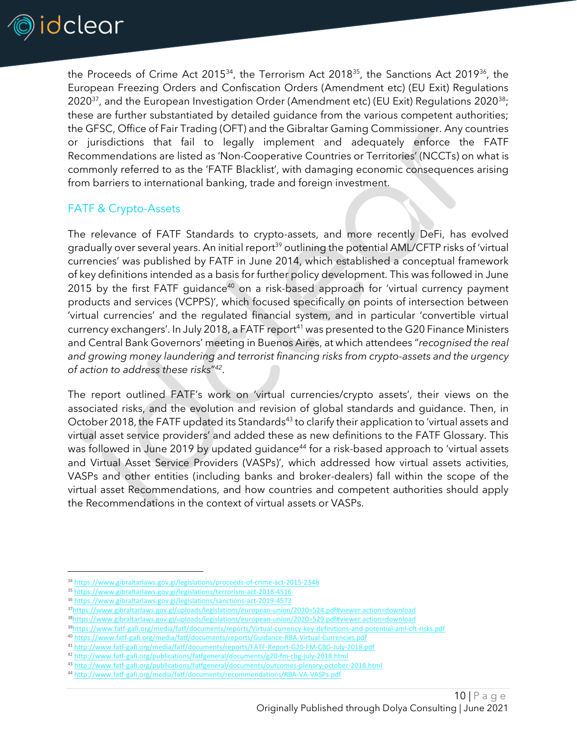

the Proceeds of Crime Act 2015<sup>34</sup>, the Terrorism Act 2018<sup>35</sup>, the Sanctions Act 2019<sup>36</sup>, the European Freezing Orders and Confiscation Orders (Amendment etc) (EU Exit) Regulations  $2020^{37}$ , and the European Investigation Order (Amendment etc) (EU Exit) Regulations  $2020^{38}$ ; these are further substantiated by detailed guidance from the various competent authorities; the GFSC, Office of Fair Trading (OFT) and the Gibraltar Gaming Commissioner. Any countries or jurisdictions that fail to legally implement and adequately enforce the FATF Recommendations are listed as 'Non-Cooperative Countries or Territories' (NCCTs) on what is commonly referred to as the 'FATF Blacklist', with damaging economic consequences arising from barriers to international banking, trade and foreign investment.

#### <span id="page-10-0"></span>FATF & Crypto-Assets

The relevance of FATF Standards to crypto-assets, and more recently DeFi, has evolved gradually over several years. An initial report<sup>39</sup> outlining the potential AML/CFTP risks of 'virtual currencies' was published by FATF in June 2014, which established a conceptual framework of key definitions intended as a basis for further policy development. This was followed in June 2015 by the first FATF guidance<sup>40</sup> on a risk-based approach for 'virtual currency payment products and services (VCPPS)', which focused specifically on points of intersection between 'virtual currencies' and the regulated financial system, and in particular 'convertible virtual currency exchangers'. In July 2018, a FATF report<sup>41</sup> was presented to the G20 Finance Ministers and Central Bank Governors' meeting in Buenos Aires, at which attendees "*recognised the real and growing money laundering and terrorist financing risks from crypto-assets and the urgency of action to address these risks*" *42* .

The report outlined FATF's work on 'virtual currencies/crypto assets', their views on the associated risks, and the evolution and revision of global standards and guidance. Then, in October 2018, the FATF updated its Standards<sup>43</sup> to clarify their application to 'virtual assets and virtual asset service providers' and added these as new definitions to the FATF Glossary. This was followed in June 2019 by updated guidance<sup>44</sup> for a risk-based approach to 'virtual assets and Virtual Asset Service Providers (VASPs)', which addressed how virtual assets activities, VASPs and other entities (including banks and broker-dealers) fall within the scope of the virtual asset Recommendations, and how countries and competent authorities should apply the Recommendations in the context of virtual assets or VASPs.

<sup>40</sup> <https://www.fatf-gafi.org/media/fatf/documents/reports/Guidance-RBA-Virtual-Currencies.pdf>

<sup>34</sup> <https://www.gibraltarlaws.gov.gi/legislations/proceeds-of-crime-act-2015-2348>

<sup>35</sup> <https://www.gibraltarlaws.gov.gi/legislations/terrorism-act-2018-4516>

<sup>36</sup> <https://www.gibraltarlaws.gov.gi/legislations/sanctions-act-2019-4573>

<sup>37</sup><https://www.gibraltarlaws.gov.gi/uploads/legislations/european-union/2020=524.pdf#viewer.action=download>

<sup>38</sup><https://www.gibraltarlaws.gov.gi/uploads/legislations/european-union/2020=529.pdf#viewer.action=download>

<sup>39</sup><https://www.fatf-gafi.org/media/fatf/documents/reports/Virtual-currency-key-definitions-and-potential-aml-cft-risks.pdf>

<sup>41</sup> <http://www.fatf-gafi.org/media/fatf/documents/reports/FATF-Report-G20-FM-CBG-July-2018.pdf>

<sup>42</sup> <http://www.fatf-gafi.org/publications/fatfgeneral/documents/g20-fm-cbg-july-2018.html>

<sup>43</sup> <http://www.fatf-gafi.org/publications/fatfgeneral/documents/outcomes-plenary-october-2018.html>

<sup>44</sup> <http://www.fatf-gafi.org/media/fatf/documents/recommendations/RBA-VA-VASPs.pdf>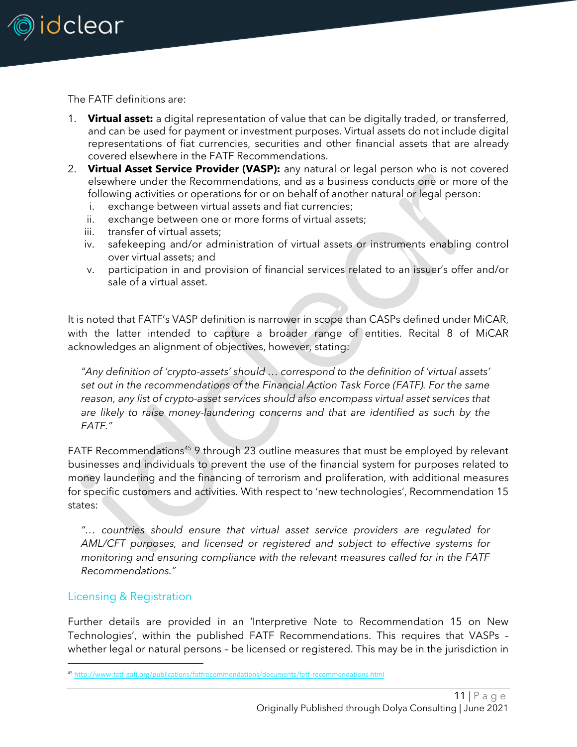

The FATF definitions are:

- 1. **Virtual asset:** a digital representation of value that can be digitally traded, or transferred, and can be used for payment or investment purposes. Virtual assets do not include digital representations of fiat currencies, securities and other financial assets that are already covered elsewhere in the FATF Recommendations.
- 2. **Virtual Asset Service Provider (VASP):** any natural or legal person who is not covered elsewhere under the Recommendations, and as a business conducts one or more of the following activities or operations for or on behalf of another natural or legal person:
	- i. exchange between virtual assets and fiat currencies;
	- ii. exchange between one or more forms of virtual assets;
	- iii. transfer of virtual assets;
	- iv. safekeeping and/or administration of virtual assets or instruments enabling control over virtual assets; and
	- v. participation in and provision of financial services related to an issuer's offer and/or sale of a virtual asset.

It is noted that FATF's VASP definition is narrower in scope than CASPs defined under MiCAR, with the latter intended to capture a broader range of entities. Recital 8 of MiCAR acknowledges an alignment of objectives, however, stating:

*"Any definition of 'crypto-assets' should … correspond to the definition of 'virtual assets' set out in the recommendations of the Financial Action Task Force (FATF). For the same reason, any list of crypto-asset services should also encompass virtual asset services that are likely to raise money-laundering concerns and that are identified as such by the FATF."*

FATF Recommendations<sup>45</sup> 9 through 23 outline measures that must be employed by relevant businesses and individuals to prevent the use of the financial system for purposes related to money laundering and the financing of terrorism and proliferation, with additional measures for specific customers and activities. With respect to 'new technologies', Recommendation 15 states:

*"… countries should ensure that virtual asset service providers are regulated for AML/CFT purposes, and licensed or registered and subject to effective systems for monitoring and ensuring compliance with the relevant measures called for in the FATF Recommendations."*

#### <span id="page-11-0"></span>Licensing & Registration

Further details are provided in an 'Interpretive Note to Recommendation 15 on New Technologies', within the published FATF Recommendations. This requires that VASPs – whether legal or natural persons – be licensed or registered. This may be in the jurisdiction in

<sup>45</sup> <http://www.fatf-gafi.org/publications/fatfrecommendations/documents/fatf-recommendations.html>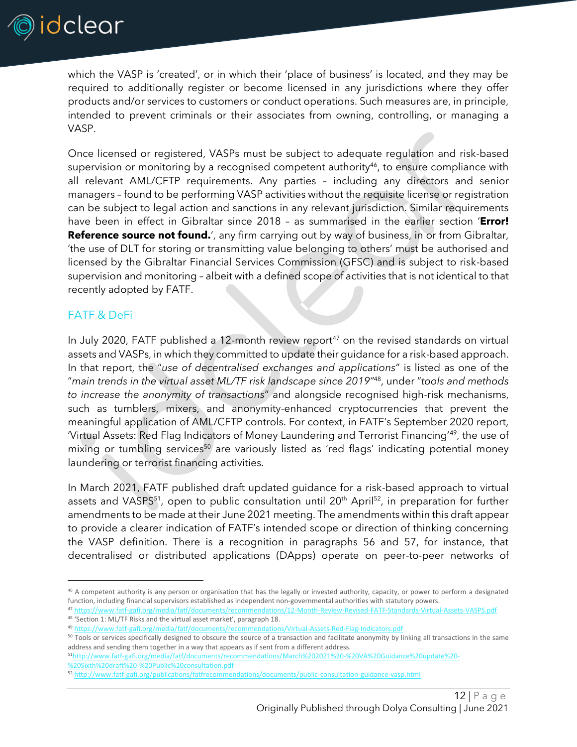

which the VASP is 'created', or in which their 'place of business' is located, and they may be required to additionally register or become licensed in any jurisdictions where they offer products and/or services to customers or conduct operations. Such measures are, in principle, intended to prevent criminals or their associates from owning, controlling, or managing a VASP.

Once licensed or registered, VASPs must be subject to adequate regulation and risk-based supervision or monitoring by a recognised competent authority<sup>46</sup>, to ensure compliance with all relevant AML/CFTP requirements. Any parties – including any directors and senior managers – found to be performing VASP activities without the requisite license or registration can be subject to legal action and sanctions in any relevant jurisdiction. Similar requirements have been in effect in Gibraltar since 2018 – as summarised in the earlier section '**Error! Reference source not found.'**, any firm carrying out by way of business, in or from Gibraltar, 'the use of DLT for storing or transmitting value belonging to others' must be authorised and licensed by the Gibraltar Financial Services Commission (GFSC) and is subject to risk-based supervision and monitoring – albeit with a defined scope of activities that is not identical to that recently adopted by FATF.

#### <span id="page-12-0"></span>FATF & DeFi

In July 2020, FATF published a 12-month review report<sup>47</sup> on the revised standards on virtual assets and VASPs, in which they committed to update their guidance for a risk-based approach. In that report, the "*use of decentralised exchanges and applications*" is listed as one of the "*main trends in the virtual asset ML/TF risk landscape since 2019"*<sup>48</sup>, under "*tools and methods to increase the anonymity of transactions*" and alongside recognised high-risk mechanisms, such as tumblers, mixers, and anonymity-enhanced cryptocurrencies that prevent the meaningful application of AML/CFTP controls. For context, in FATF's September 2020 report, 'Virtual Assets: Red Flag Indicators of Money Laundering and Terrorist Financing'<sup>49</sup>, the use of mixing or tumbling services<sup>50</sup> are variously listed as 'red flags' indicating potential money laundering or terrorist financing activities.

In March 2021, FATF published draft updated guidance for a risk-based approach to virtual assets and VASPS<sup>51</sup>, open to public consultation until  $20<sup>th</sup>$  April<sup>52</sup>, in preparation for further amendments to be made at their June 2021 meeting. The amendments within this draft appear to provide a clearer indication of FATF's intended scope or direction of thinking concerning the VASP definition. There is a recognition in paragraphs 56 and 57, for instance, that decentralised or distributed applications (DApps) operate on peer-to-peer networks of

<sup>&</sup>lt;sup>46</sup> A competent authority is any person or organisation that has the legally or invested authority, capacity, or power to perform a designated function, including financial supervisors established as independent non-governmental authorities with statutory powers.

<sup>47</sup> <https://www.fatf-gafi.org/media/fatf/documents/recommendations/12-Month-Review-Revised-FATF-Standards-Virtual-Assets-VASPS.pdf> <sup>48</sup> 'Section 1: ML/TF Risks and the virtual asset market', paragraph 18.

<sup>49</sup> <https://www.fatf-gafi.org/media/fatf/documents/recommendations/Virtual-Assets-Red-Flag-Indicators.pdf>

<sup>&</sup>lt;sup>50</sup> Tools or services specifically designed to obscure the source of a transaction and facilitate anonymity by linking all transactions in the same address and sending them together in a way that appears as if sent from a different address.

<sup>51</sup>[http://www.fatf-gafi.org/media/fatf/documents/recommendations/March%202021%20-%20VA%20Guidance%20update%20-](http://www.fatf-gafi.org/media/fatf/documents/recommendations/March%202021%20-%20VA%20Guidance%20update%20-%20Sixth%20draft%20-%20Public%20consultation.pdf) [%20Sixth%20draft%20-%20Public%20consultation.pdf](http://www.fatf-gafi.org/media/fatf/documents/recommendations/March%202021%20-%20VA%20Guidance%20update%20-%20Sixth%20draft%20-%20Public%20consultation.pdf)

<sup>52</sup> <http://www.fatf-gafi.org/publications/fatfrecommendations/documents/public-consultation-guidance-vasp.html>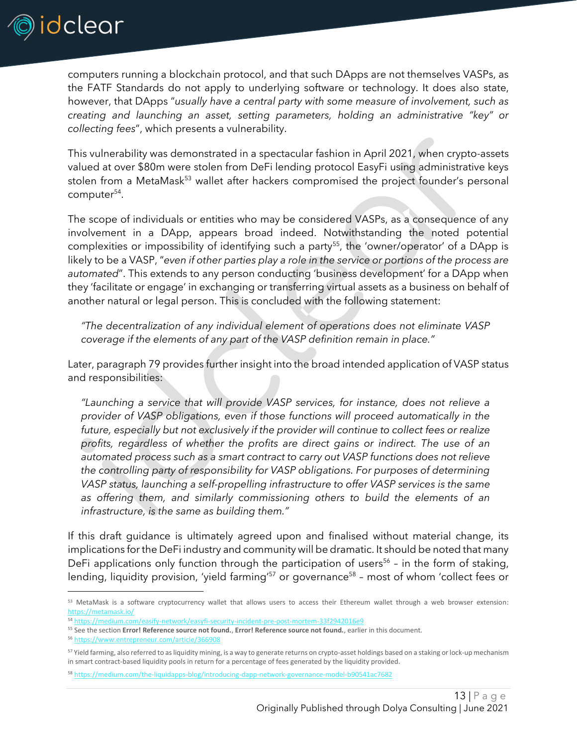

computers running a blockchain protocol, and that such DApps are not themselves VASPs, as the FATF Standards do not apply to underlying software or technology. It does also state, however, that DApps "*usually have a central party with some measure of involvement, such as creating and launching an asset, setting parameters, holding an administrative "key" or collecting fees*", which presents a vulnerability.

This vulnerability was demonstrated in a spectacular fashion in April 2021, when crypto-assets valued at over \$80m were stolen from DeFi lending protocol EasyFi using administrative keys stolen from a MetaMask<sup>53</sup> wallet after hackers compromised the project founder's personal computer<sup>54</sup>.

The scope of individuals or entities who may be considered VASPs, as a consequence of any involvement in a DApp, appears broad indeed. Notwithstanding the noted potential complexities or impossibility of identifying such a party<sup>55</sup>, the 'owner/operator' of a DApp is likely to be a VASP, "*even if other parties play a role in the service or portions of the process are automated*". This extends to any person conducting 'business development' for a DApp when they 'facilitate or engage' in exchanging or transferring virtual assets as a business on behalf of another natural or legal person. This is concluded with the following statement:

*"The decentralization of any individual element of operations does not eliminate VASP coverage if the elements of any part of the VASP definition remain in place."*

Later, paragraph 79 provides further insight into the broad intended application of VASP status and responsibilities:

*"Launching a service that will provide VASP services, for instance, does not relieve a provider of VASP obligations, even if those functions will proceed automatically in the future, especially but not exclusively if the provider will continue to collect fees or realize profits, regardless of whether the profits are direct gains or indirect. The use of an automated process such as a smart contract to carry out VASP functions does not relieve the controlling party of responsibility for VASP obligations. For purposes of determining VASP status, launching a self-propelling infrastructure to offer VASP services is the same as offering them, and similarly commissioning others to build the elements of an infrastructure, is the same as building them."*

If this draft guidance is ultimately agreed upon and finalised without material change, its implications for the DeFi industry and community will be dramatic. It should be noted that many DeFi applications only function through the participation of users<sup>56</sup> - in the form of staking, lending, liquidity provision, 'yield farming'<sup>57</sup> or governance<sup>58</sup> - most of whom 'collect fees or

<sup>53</sup> MetaMask is a software cryptocurrency wallet that allows users to access their Ethereum wallet through a web browser extension: <https://metamask.io/>

<sup>54</sup> <https://medium.com/easify-network/easyfi-security-incident-pre-post-mortem-33f2942016e9>

<sup>55</sup> See the section **Error! Reference source not found.**, **Error! Reference source not found.**, earlier in this document.

<sup>56</sup> <https://www.entrepreneur.com/article/366908>

<sup>&</sup>lt;sup>57</sup> Yield farming, also referred to as liquidity mining, is a way to generate returns on crypto-asset holdings based on a staking or lock-up mechanism in smart contract-based liquidity pools in return for a percentage of fees generated by the liquidity provided.

<sup>58</sup> <https://medium.com/the-liquidapps-blog/introducing-dapp-network-governance-model-b90541ac7682>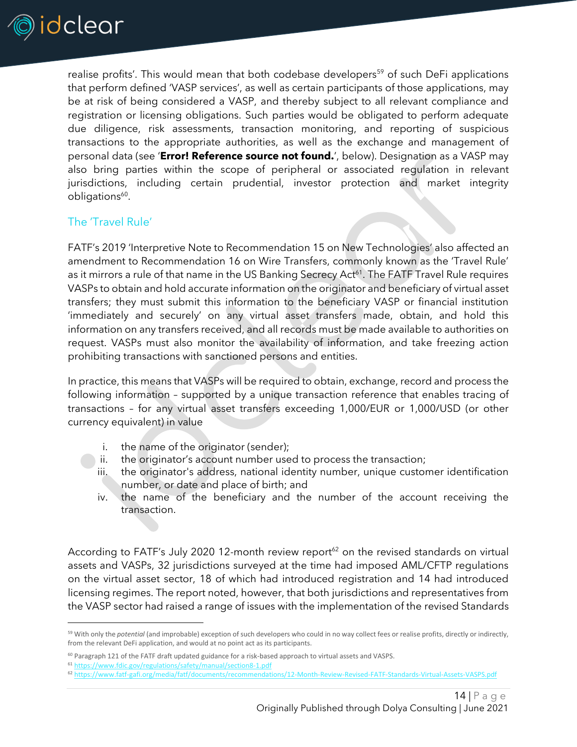

realise profits'. This would mean that both codebase developers<sup>59</sup> of such DeFi applications that perform defined 'VASP services', as well as certain participants of those applications, may be at risk of being considered a VASP, and thereby subject to all relevant compliance and registration or licensing obligations. Such parties would be obligated to perform adequate due diligence, risk assessments, transaction monitoring, and reporting of suspicious transactions to the appropriate authorities, as well as the exchange and management of personal data (see '**Error! Reference source not found.**', below). Designation as a VASP may also bring parties within the scope of peripheral or associated regulation in relevant jurisdictions, including certain prudential, investor protection and market integrity obligations<sup>60</sup>.

#### <span id="page-14-0"></span>The 'Travel Rule'

FATF's 2019 'Interpretive Note to Recommendation 15 on New Technologies' also affected an amendment to Recommendation 16 on Wire Transfers, commonly known as the 'Travel Rule' as it mirrors a rule of that name in the US Banking Secrecy Act<sup>61</sup>. The FATF Travel Rule requires VASPs to obtain and hold accurate information on the originator and beneficiary of virtual asset transfers; they must submit this information to the beneficiary VASP or financial institution 'immediately and securely' on any virtual asset transfers made, obtain, and hold this information on any transfers received, and all records must be made available to authorities on request. VASPs must also monitor the availability of information, and take freezing action prohibiting transactions with sanctioned persons and entities.

In practice, this means that VASPs will be required to obtain, exchange, record and process the following information – supported by a unique transaction reference that enables tracing of transactions – for any virtual asset transfers exceeding 1,000/EUR or 1,000/USD (or other currency equivalent) in value

- i. the name of the originator (sender);
- ii. the originator's account number used to process the transaction;
- iii. the originator's address, national identity number, unique customer identification number, or date and place of birth; and
- iv. the name of the beneficiary and the number of the account receiving the transaction.

According to FATF's July 2020 12-month review report<sup>62</sup> on the revised standards on virtual assets and VASPs, 32 jurisdictions surveyed at the time had imposed AML/CFTP regulations on the virtual asset sector, 18 of which had introduced registration and 14 had introduced licensing regimes. The report noted, however, that both jurisdictions and representatives from the VASP sector had raised a range of issues with the implementation of the revised Standards

<sup>61</sup> <https://www.fdic.gov/regulations/safety/manual/section8-1.pdf>

<sup>&</sup>lt;sup>59</sup> With only the *potential* (and improbable) exception of such developers who could in no way collect fees or realise profits, directly or indirectly, from the relevant DeFi application, and would at no point act as its participants.

<sup>60</sup> Paragraph 121 of the FATF draft updated guidance for a risk-based approach to virtual assets and VASPS.

<sup>62</sup> <https://www.fatf-gafi.org/media/fatf/documents/recommendations/12-Month-Review-Revised-FATF-Standards-Virtual-Assets-VASPS.pdf>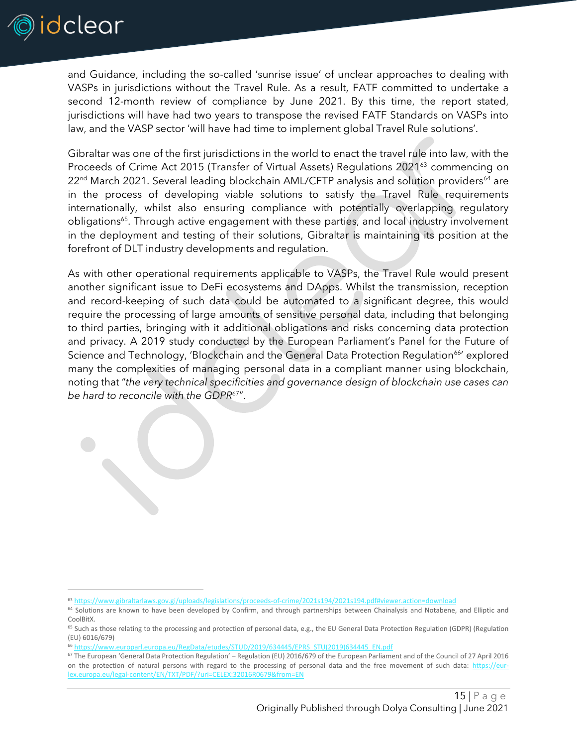

and Guidance, including the so-called 'sunrise issue' of unclear approaches to dealing with VASPs in jurisdictions without the Travel Rule. As a result, FATF committed to undertake a second 12-month review of compliance by June 2021. By this time, the report stated, jurisdictions will have had two years to transpose the revised FATF Standards on VASPs into law, and the VASP sector 'will have had time to implement global Travel Rule solutions'.

Gibraltar was one of the first jurisdictions in the world to enact the travel rule into law, with the Proceeds of Crime Act 2015 (Transfer of Virtual Assets) Regulations 2021<sup>63</sup> commencing on 22<sup>nd</sup> March 2021. Several leading blockchain AML/CFTP analysis and solution providers<sup>64</sup> are in the process of developing viable solutions to satisfy the Travel Rule requirements internationally, whilst also ensuring compliance with potentially overlapping regulatory obligations<sup>65</sup>. Through active engagement with these parties, and local industry involvement in the deployment and testing of their solutions, Gibraltar is maintaining its position at the forefront of DLT industry developments and regulation.

As with other operational requirements applicable to VASPs, the Travel Rule would present another significant issue to DeFi ecosystems and DApps. Whilst the transmission, reception and record-keeping of such data could be automated to a significant degree, this would require the processing of large amounts of sensitive personal data, including that belonging to third parties, bringing with it additional obligations and risks concerning data protection and privacy. A 2019 study conducted by the European Parliament's Panel for the Future of Science and Technology, 'Blockchain and the General Data Protection Regulation<sup>66'</sup> explored many the complexities of managing personal data in a compliant manner using blockchain, noting that "*the very technical specificities and governance design of blockchain use cases can be hard to reconcile with the GDPR*<sup>67</sup>".

<sup>66</sup> [https://www.europarl.europa.eu/RegData/etudes/STUD/2019/634445/EPRS\\_STU\(2019\)634445\\_EN.pdf](https://www.europarl.europa.eu/RegData/etudes/STUD/2019/634445/EPRS_STU(2019)634445_EN.pdf)

<sup>63</sup> <https://www.gibraltarlaws.gov.gi/uploads/legislations/proceeds-of-crime/2021s194/2021s194.pdf#viewer.action=download>

<sup>&</sup>lt;sup>64</sup> Solutions are known to have been developed by Confirm, and through partnerships between Chainalysis and Notabene, and Elliptic and CoolBitX.

<sup>&</sup>lt;sup>65</sup> Such as those relating to the processing and protection of personal data, e.g., the EU General Data Protection Regulation (GDPR) (Regulation (EU) 6016/679)

<sup>&</sup>lt;sup>67</sup> The European 'General Data Protection Regulation' – Regulation (EU) 2016/679 of the European Parliament and of the Council of 27 April 2016 on the protection of natural persons with regard to the processing of personal data and the free movement of such data: [https://eur](https://eur-lex.europa.eu/legal-content/EN/TXT/PDF/?uri=CELEX:32016R0679&from=EN)[lex.europa.eu/legal-content/EN/TXT/PDF/?uri=CELEX:32016R0679&from=EN](https://eur-lex.europa.eu/legal-content/EN/TXT/PDF/?uri=CELEX:32016R0679&from=EN)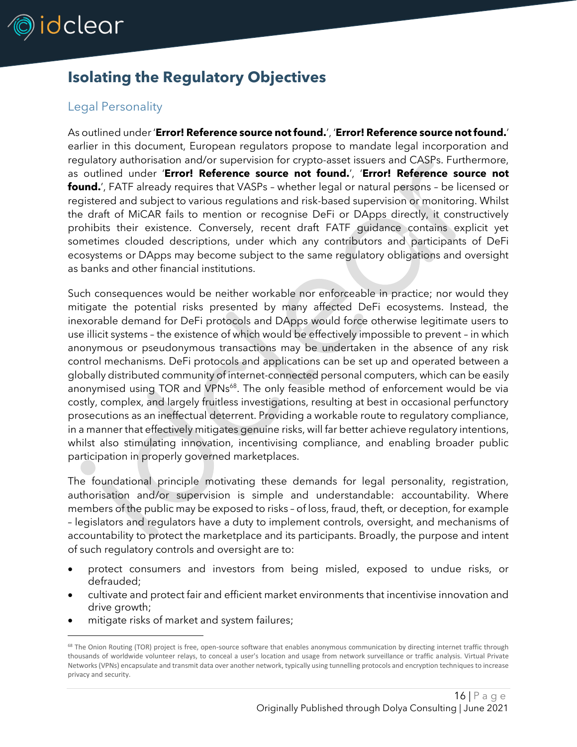

# <span id="page-16-0"></span>**Isolating the Regulatory Objectives**

## <span id="page-16-1"></span>Legal Personality

As outlined under '**Error! Reference source not found.**', '**Error! Reference source not found.**' earlier in this document, European regulators propose to mandate legal incorporation and regulatory authorisation and/or supervision for crypto-asset issuers and CASPs. Furthermore, as outlined under '**Error! Reference source not found.**', '**Error! Reference source not found.**', FATF already requires that VASPs – whether legal or natural persons – be licensed or registered and subject to various regulations and risk-based supervision or monitoring. Whilst the draft of MiCAR fails to mention or recognise DeFi or DApps directly, it constructively prohibits their existence. Conversely, recent draft FATF guidance contains explicit yet sometimes clouded descriptions, under which any contributors and participants of DeFi ecosystems or DApps may become subject to the same regulatory obligations and oversight as banks and other financial institutions.

Such consequences would be neither workable nor enforceable in practice; nor would they mitigate the potential risks presented by many affected DeFi ecosystems. Instead, the inexorable demand for DeFi protocols and DApps would force otherwise legitimate users to use illicit systems – the existence of which would be effectively impossible to prevent – in which anonymous or pseudonymous transactions may be undertaken in the absence of any risk control mechanisms. DeFi protocols and applications can be set up and operated between a globally distributed community of internet-connected personal computers, which can be easily anonymised using TOR and VPNs<sup>68</sup>. The only feasible method of enforcement would be via costly, complex, and largely fruitless investigations, resulting at best in occasional perfunctory prosecutions as an ineffectual deterrent. Providing a workable route to regulatory compliance, in a manner that effectively mitigates genuine risks, will far better achieve regulatory intentions, whilst also stimulating innovation, incentivising compliance, and enabling broader public participation in properly governed marketplaces.

The foundational principle motivating these demands for legal personality, registration, authorisation and/or supervision is simple and understandable: accountability. Where members of the public may be exposed to risks – of loss, fraud, theft, or deception, for example – legislators and regulators have a duty to implement controls, oversight, and mechanisms of accountability to protect the marketplace and its participants. Broadly, the purpose and intent of such regulatory controls and oversight are to:

- protect consumers and investors from being misled, exposed to undue risks, or defrauded;
- cultivate and protect fair and efficient market environments that incentivise innovation and drive growth;
- mitigate risks of market and system failures;

<sup>&</sup>lt;sup>68</sup> The Onion Routing (TOR) project is free, open-source software that enables anonymous communication by directing internet traffic through thousands of worldwide volunteer relays, to conceal a user's location and usage from network surveillance or traffic analysis. Virtual Private Networks (VPNs) encapsulate and transmit data over another network, typically using tunnelling protocols and encryption techniques to increase privacy and security.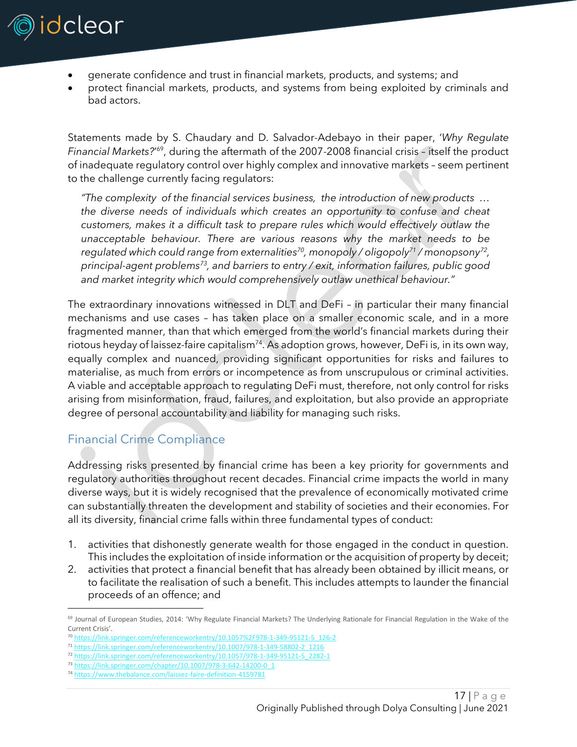

- generate confidence and trust in financial markets, products, and systems; and
- protect financial markets, products, and systems from being exploited by criminals and bad actors.

Statements made by S. Chaudary and D. Salvador-Adebayo in their paper, '*Why Regulate Financial Markets?*' <sup>69</sup>, during the aftermath of the 2007-2008 financial crisis – itself the product of inadequate regulatory control over highly complex and innovative markets – seem pertinent to the challenge currently facing regulators:

*"The complexity of the financial services business, the introduction of new products … the diverse needs of individuals which creates an opportunity to confuse and cheat customers, makes it a difficult task to prepare rules which would effectively outlaw the unacceptable behaviour. There are various reasons why the market needs to be regulated which could range from externalities<sup>70</sup>, monopoly / oligopoly<sup>71</sup> / monopsony<sup>72</sup> , principal-agent problems<sup>73</sup>, and barriers to entry / exit, information failures, public good and market integrity which would comprehensively outlaw unethical behaviour."* 

The extraordinary innovations witnessed in DLT and DeFi – in particular their many financial mechanisms and use cases – has taken place on a smaller economic scale, and in a more fragmented manner, than that which emerged from the world's financial markets during their riotous heyday of laissez-faire capitalism<sup>74</sup>. As adoption grows, however, DeFi is, in its own way, equally complex and nuanced, providing significant opportunities for risks and failures to materialise, as much from errors or incompetence as from unscrupulous or criminal activities. A viable and acceptable approach to regulating DeFi must, therefore, not only control for risks arising from misinformation, fraud, failures, and exploitation, but also provide an appropriate degree of personal accountability and liability for managing such risks.

## <span id="page-17-0"></span>Financial Crime Compliance

Addressing risks presented by financial crime has been a key priority for governments and regulatory authorities throughout recent decades. Financial crime impacts the world in many diverse ways, but it is widely recognised that the prevalence of economically motivated crime can substantially threaten the development and stability of societies and their economies. For all its diversity, financial crime falls within three fundamental types of conduct:

- 1. activities that dishonestly generate wealth for those engaged in the conduct in question. This includes the exploitation of inside information or the acquisition of property by deceit;
- 2. activities that protect a financial benefit that has already been obtained by illicit means, or to facilitate the realisation of such a benefit. This includes attempts to launder the financial proceeds of an offence; and

<sup>&</sup>lt;sup>69</sup> Journal of European Studies, 2014: 'Why Regulate Financial Markets? The Underlying Rationale for Financial Regulation in the Wake of the Current Crisis'.

<sup>70</sup> [https://link.springer.com/referenceworkentry/10.1057%2F978-1-349-95121-5\\_126-2](https://link.springer.com/referenceworkentry/10.1057%2F978-1-349-95121-5_126-2)

<sup>71</sup> [https://link.springer.com/referenceworkentry/10.1007/978-1-349-58802-2\\_1216](https://link.springer.com/referenceworkentry/10.1007/978-1-349-58802-2_1216)

<sup>72</sup> [https://link.springer.com/referenceworkentry/10.1057/978-1-349-95121-5\\_2282-1](https://link.springer.com/referenceworkentry/10.1057/978-1-349-95121-5_2282-1)

<sup>73</sup> [https://link.springer.com/chapter/10.1007/978-3-642-14200-0\\_1](https://link.springer.com/chapter/10.1007/978-3-642-14200-0_1)

<sup>74</sup> <https://www.thebalance.com/laissez-faire-definition-4159781>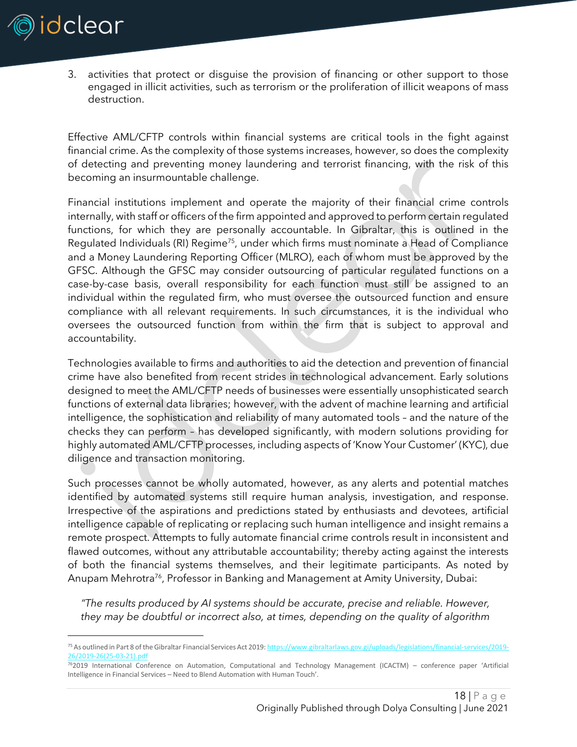

3. activities that protect or disguise the provision of financing or other support to those engaged in illicit activities, such as terrorism or the proliferation of illicit weapons of mass destruction.

Effective AML/CFTP controls within financial systems are critical tools in the fight against financial crime. As the complexity of those systems increases, however, so does the complexity of detecting and preventing money laundering and terrorist financing, with the risk of this becoming an insurmountable challenge.

Financial institutions implement and operate the majority of their financial crime controls internally, with staff or officers of the firm appointed and approved to perform certain regulated functions, for which they are personally accountable. In Gibraltar, this is outlined in the Regulated Individuals (RI) Regime<sup>75</sup>, under which firms must nominate a Head of Compliance and a Money Laundering Reporting Officer (MLRO), each of whom must be approved by the GFSC. Although the GFSC may consider outsourcing of particular regulated functions on a case-by-case basis, overall responsibility for each function must still be assigned to an individual within the regulated firm, who must oversee the outsourced function and ensure compliance with all relevant requirements. In such circumstances, it is the individual who oversees the outsourced function from within the firm that is subject to approval and accountability.

Technologies available to firms and authorities to aid the detection and prevention of financial crime have also benefited from recent strides in technological advancement. Early solutions designed to meet the AML/CFTP needs of businesses were essentially unsophisticated search functions of external data libraries; however, with the advent of machine learning and artificial intelligence, the sophistication and reliability of many automated tools – and the nature of the checks they can perform – has developed significantly, with modern solutions providing for highly automated AML/CFTP processes, including aspects of 'Know Your Customer' (KYC), due diligence and transaction monitoring.

Such processes cannot be wholly automated, however, as any alerts and potential matches identified by automated systems still require human analysis, investigation, and response. Irrespective of the aspirations and predictions stated by enthusiasts and devotees, artificial intelligence capable of replicating or replacing such human intelligence and insight remains a remote prospect. Attempts to fully automate financial crime controls result in inconsistent and flawed outcomes, without any attributable accountability; thereby acting against the interests of both the financial systems themselves, and their legitimate participants. As noted by Anupam Mehrotra<sup>76</sup>, Professor in Banking and Management at Amity University, Dubai:

*"The results produced by AI systems should be accurate, precise and reliable. However, they may be doubtful or incorrect also, at times, depending on the quality of algorithm* 

<sup>&</sup>lt;sup>75</sup> As outlined in Part 8 of the Gibraltar Financial Services Act 2019[: https://www.gibraltarlaws.gov.gi/uploads/legislations/financial-services/2019-](https://www.gibraltarlaws.gov.gi/uploads/legislations/financial-services/2019-26/2019-26(25-03-21).pdf) [26/2019-26\(25-03-21\).pdf](https://www.gibraltarlaws.gov.gi/uploads/legislations/financial-services/2019-26/2019-26(25-03-21).pdf)

<sup>76</sup>2019 International Conference on Automation, Computational and Technology Management (ICACTM) – conference paper 'Artificial Intelligence in Financial Services – Need to Blend Automation with Human Touch'.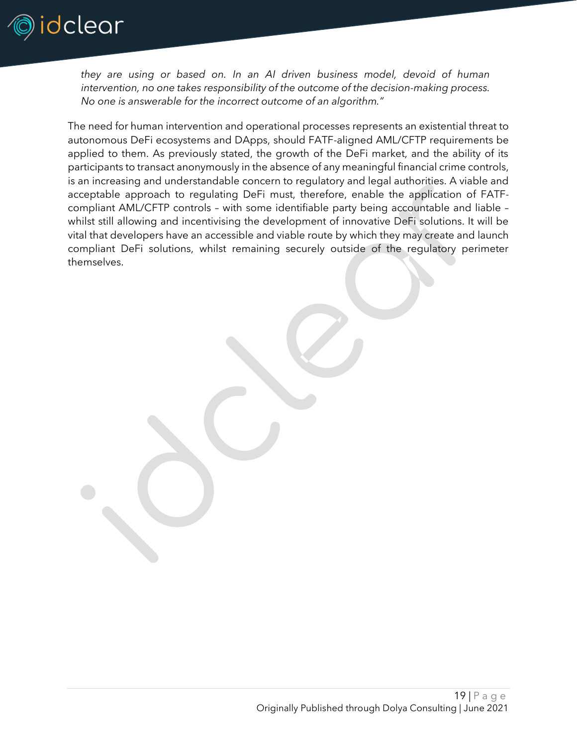

*they are using or based on. In an AI driven business model, devoid of human intervention, no one takes responsibility of the outcome of the decision-making process. No one is answerable for the incorrect outcome of an algorithm."*

The need for human intervention and operational processes represents an existential threat to autonomous DeFi ecosystems and DApps, should FATF-aligned AML/CFTP requirements be applied to them. As previously stated, the growth of the DeFi market, and the ability of its participants to transact anonymously in the absence of any meaningful financial crime controls, is an increasing and understandable concern to regulatory and legal authorities. A viable and acceptable approach to regulating DeFi must, therefore, enable the application of FATFcompliant AML/CFTP controls – with some identifiable party being accountable and liable – whilst still allowing and incentivising the development of innovative DeFi solutions. It will be vital that developers have an accessible and viable route by which they may create and launch compliant DeFi solutions, whilst remaining securely outside of the regulatory perimeter themselves.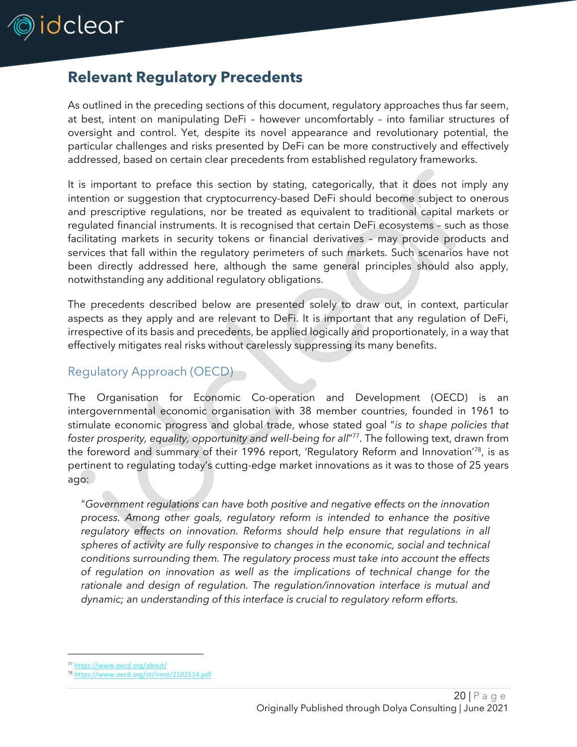

# <span id="page-20-0"></span>**Relevant Regulatory Precedents**

As outlined in the preceding sections of this document, regulatory approaches thus far seem, at best, intent on manipulating DeFi – however uncomfortably – into familiar structures of oversight and control. Yet, despite its novel appearance and revolutionary potential, the particular challenges and risks presented by DeFi can be more constructively and effectively addressed, based on certain clear precedents from established regulatory frameworks.

It is important to preface this section by stating, categorically, that it does not imply any intention or suggestion that cryptocurrency-based DeFi should become subject to onerous and prescriptive regulations, nor be treated as equivalent to traditional capital markets or regulated financial instruments. It is recognised that certain DeFi ecosystems – such as those facilitating markets in security tokens or financial derivatives – may provide products and services that fall within the regulatory perimeters of such markets. Such scenarios have not been directly addressed here, although the same general principles should also apply, notwithstanding any additional regulatory obligations.

The precedents described below are presented solely to draw out, in context, particular aspects as they apply and are relevant to DeFi. It is important that any regulation of DeFi, irrespective of its basis and precedents, be applied logically and proportionately, in a way that effectively mitigates real risks without carelessly suppressing its many benefits.

## <span id="page-20-1"></span>Regulatory Approach (OECD)

The Organisation for Economic Co-operation and Development (OECD) is an intergovernmental economic organisation with 38 member countries, founded in 1961 to stimulate economic progress and global trade, whose stated goal "*is to shape policies that*  foster prosperity, equality, opportunity and well-being for all"<sup>77</sup>. The following text, drawn from the foreword and summary of their 1996 report, 'Regulatory Reform and Innovation'<sup>78</sup>, is as pertinent to regulating today's cutting-edge market innovations as it was to those of 25 years ago:

"*Government regulations can have both positive and negative effects on the innovation process. Among other goals, regulatory reform is intended to enhance the positive regulatory effects on innovation. Reforms should help ensure that regulations in all spheres of activity are fully responsive to changes in the economic, social and technical conditions surrounding them. The regulatory process must take into account the effects of regulation on innovation as well as the implications of technical change for the rationale and design of regulation. The regulation/innovation interface is mutual and dynamic; an understanding of this interface is crucial to regulatory reform efforts.*

<sup>77</sup> <https://www.oecd.org/about/>

<sup>78</sup> <https://www.oecd.org/sti/inno/2102514.pdf>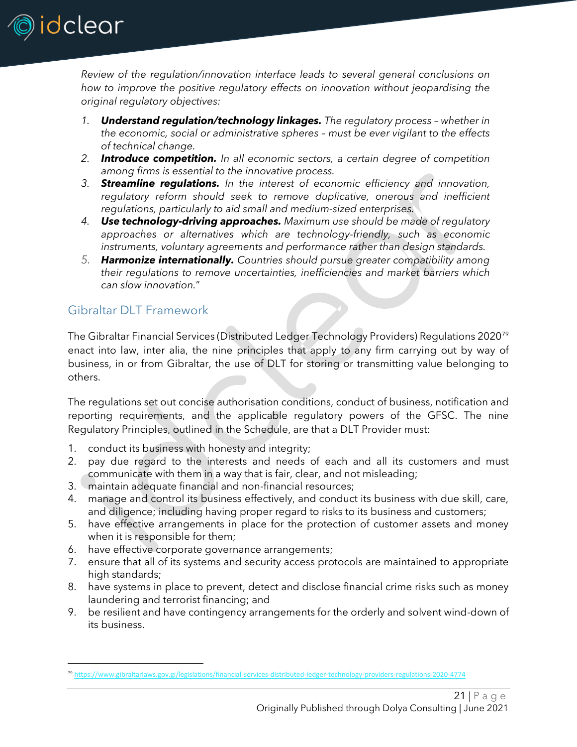

*Review of the regulation/innovation interface leads to several general conclusions on how to improve the positive regulatory effects on innovation without jeopardising the original regulatory objectives:*

- *1. Understand regulation/technology linkages. The regulatory process – whether in the economic, social or administrative spheres – must be ever vigilant to the effects of technical change.*
- *2. Introduce competition. In all economic sectors, a certain degree of competition among firms is essential to the innovative process.*
- *3. Streamline regulations. In the interest of economic efficiency and innovation, regulatory reform should seek to remove duplicative, onerous and inefficient regulations, particularly to aid small and medium-sized enterprises.*
- *4. Use technology-driving approaches. Maximum use should be made of regulatory approaches or alternatives which are technology-friendly, such as economic instruments, voluntary agreements and performance rather than design standards.*
- *5. Harmonize internationally. Countries should pursue greater compatibility among their regulations to remove uncertainties, inefficiencies and market barriers which can slow innovation.*"

## <span id="page-21-0"></span>Gibraltar DLT Framework

The Gibraltar Financial Services (Distributed Ledger Technology Providers) Regulations 2020<sup>79</sup> enact into law, inter alia, the nine principles that apply to any firm carrying out by way of business, in or from Gibraltar, the use of DLT for storing or transmitting value belonging to others.

The regulations set out concise authorisation conditions, conduct of business, notification and reporting requirements, and the applicable regulatory powers of the GFSC. The nine Regulatory Principles, outlined in the Schedule, are that a DLT Provider must:

- 1. conduct its business with honesty and integrity;
- 2. pay due regard to the interests and needs of each and all its customers and must communicate with them in a way that is fair, clear, and not misleading;
- 3. maintain adequate financial and non-financial resources;
- 4. manage and control its business effectively, and conduct its business with due skill, care, and diligence; including having proper regard to risks to its business and customers;
- 5. have effective arrangements in place for the protection of customer assets and money when it is responsible for them;
- 6. have effective corporate governance arrangements;
- 7. ensure that all of its systems and security access protocols are maintained to appropriate high standards;
- 8. have systems in place to prevent, detect and disclose financial crime risks such as money laundering and terrorist financing; and
- 9. be resilient and have contingency arrangements for the orderly and solvent wind-down of its business.

<sup>79</sup> <https://www.gibraltarlaws.gov.gi/legislations/financial-services-distributed-ledger-technology-providers-regulations-2020-4774>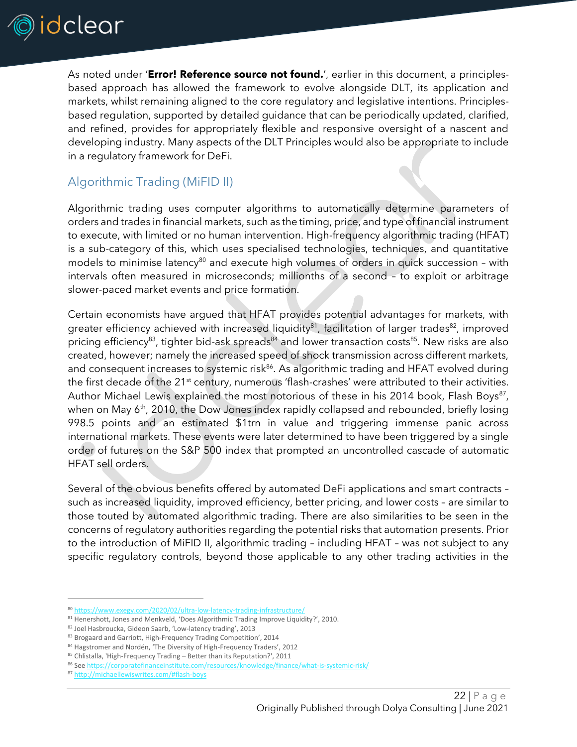

As noted under '**Error! Reference source not found.**', earlier in this document, a principlesbased approach has allowed the framework to evolve alongside DLT, its application and markets, whilst remaining aligned to the core regulatory and legislative intentions. Principlesbased regulation, supported by detailed guidance that can be periodically updated, clarified, and refined, provides for appropriately flexible and responsive oversight of a nascent and developing industry. Many aspects of the DLT Principles would also be appropriate to include in a regulatory framework for DeFi.

## <span id="page-22-0"></span>Algorithmic Trading (MiFID II)

Algorithmic trading uses computer algorithms to automatically determine parameters of orders and trades in financial markets, such as the timing, price, and type of financial instrument to execute, with limited or no human intervention. High-frequency algorithmic trading (HFAT) is a sub-category of this, which uses specialised technologies, techniques, and quantitative models to minimise latency<sup>80</sup> and execute high volumes of orders in quick succession - with intervals often measured in microseconds; millionths of a second – to exploit or arbitrage slower-paced market events and price formation.

Certain economists have argued that HFAT provides potential advantages for markets, with greater efficiency achieved with increased liquidity<sup>81</sup>, facilitation of larger trades<sup>82</sup>, improved pricing efficiency<sup>83</sup>, tighter bid-ask spreads<sup>84</sup> and lower transaction costs<sup>85</sup>. New risks are also created, however; namely the increased speed of shock transmission across different markets, and consequent increases to systemic risk<sup>86</sup>. As algorithmic trading and HFAT evolved during the first decade of the 21<sup>st</sup> century, numerous 'flash-crashes' were attributed to their activities. Author Michael Lewis explained the most notorious of these in his 2014 book, Flash Boys<sup>87</sup>, when on May 6<sup>th</sup>, 2010, the Dow Jones index rapidly collapsed and rebounded, briefly losing 998.5 points and an estimated \$1trn in value and triggering immense panic across international markets. These events were later determined to have been triggered by a single order of futures on the S&P 500 index that prompted an uncontrolled cascade of automatic HFAT sell orders.

Several of the obvious benefits offered by automated DeFi applications and smart contracts – such as increased liquidity, improved efficiency, better pricing, and lower costs – are similar to those touted by automated algorithmic trading. There are also similarities to be seen in the concerns of regulatory authorities regarding the potential risks that automation presents. Prior to the introduction of MiFID II, algorithmic trading – including HFAT – was not subject to any specific regulatory controls, beyond those applicable to any other trading activities in the

<sup>80</sup> <https://www.exegy.com/2020/02/ultra-low-latency-trading-infrastructure/>

<sup>81</sup> Henershott, Jones and Menkveld, 'Does Algorithmic Trading Improve Liquidity?', 2010.

<sup>82</sup> Joel Hasbroucka, Gideon Saarb, 'Low-latency trading', 2013

<sup>83</sup> Brogaard and Garriott, High-Frequency Trading Competition', 2014

<sup>84</sup> Hagstromer and Nordén, 'The Diversity of High-Frequency Traders', 2012

<sup>85</sup> Chlistalla, 'High-Frequency Trading – Better than its Reputation?', 2011

<sup>86</sup> Se[e https://corporatefinanceinstitute.com/resources/knowledge/finance/what-is-systemic-risk/](https://corporatefinanceinstitute.com/resources/knowledge/finance/what-is-systemic-risk/)

<sup>87</sup> <http://michaellewiswrites.com/#flash-boys>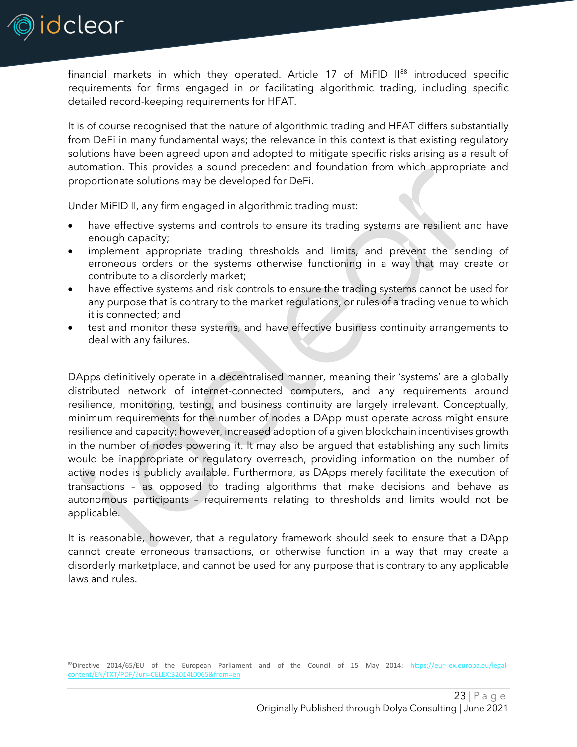

financial markets in which they operated. Article 17 of MiFID  $II^{88}$  introduced specific requirements for firms engaged in or facilitating algorithmic trading, including specific detailed record-keeping requirements for HFAT.

It is of course recognised that the nature of algorithmic trading and HFAT differs substantially from DeFi in many fundamental ways; the relevance in this context is that existing regulatory solutions have been agreed upon and adopted to mitigate specific risks arising as a result of automation. This provides a sound precedent and foundation from which appropriate and proportionate solutions may be developed for DeFi.

Under MiFID II, any firm engaged in algorithmic trading must:

- have effective systems and controls to ensure its trading systems are resilient and have enough capacity;
- implement appropriate trading thresholds and limits, and prevent the sending of erroneous orders or the systems otherwise functioning in a way that may create or contribute to a disorderly market;
- have effective systems and risk controls to ensure the trading systems cannot be used for any purpose that is contrary to the market regulations, or rules of a trading venue to which it is connected; and
- test and monitor these systems, and have effective business continuity arrangements to deal with any failures.

DApps definitively operate in a decentralised manner, meaning their 'systems' are a globally distributed network of internet-connected computers, and any requirements around resilience, monitoring, testing, and business continuity are largely irrelevant. Conceptually, minimum requirements for the number of nodes a DApp must operate across might ensure resilience and capacity; however, increased adoption of a given blockchain incentivises growth in the number of nodes powering it. It may also be argued that establishing any such limits would be inappropriate or regulatory overreach, providing information on the number of active nodes is publicly available. Furthermore, as DApps merely facilitate the execution of transactions – as opposed to trading algorithms that make decisions and behave as autonomous participants – requirements relating to thresholds and limits would not be applicable.

It is reasonable, however, that a regulatory framework should seek to ensure that a DApp cannot create erroneous transactions, or otherwise function in a way that may create a disorderly marketplace, and cannot be used for any purpose that is contrary to any applicable laws and rules.

<sup>88</sup>Directive 2014/65/EU of the European Parliament and of the Council of 15 May 2014: [https://eur-lex.europa.eu/legal](https://eur-lex.europa.eu/legal-content/EN/TXT/PDF/?uri=CELEX:32014L0065&from=EN)[content/EN/TXT/PDF/?uri=CELEX:32014L0065&from=en](https://eur-lex.europa.eu/legal-content/EN/TXT/PDF/?uri=CELEX:32014L0065&from=EN)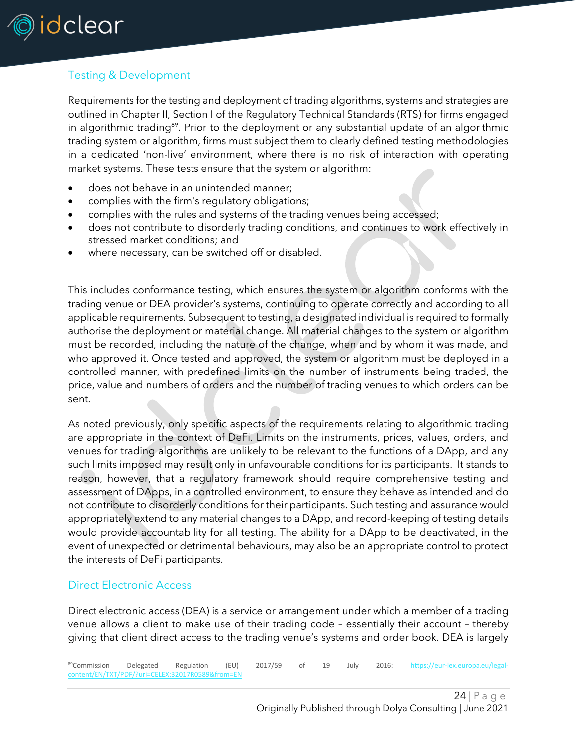

#### <span id="page-24-0"></span>Testing & Development

Requirements for the testing and deployment of trading algorithms, systems and strategies are outlined in Chapter II, Section I of the Regulatory Technical Standards (RTS) for firms engaged in algorithmic trading<sup>89</sup>. Prior to the deployment or any substantial update of an algorithmic trading system or algorithm, firms must subject them to clearly defined testing methodologies in a dedicated 'non-live' environment, where there is no risk of interaction with operating market systems. These tests ensure that the system or algorithm:

- does not behave in an unintended manner;
- complies with the firm's regulatory obligations;
- complies with the rules and systems of the trading venues being accessed;
- does not contribute to disorderly trading conditions, and continues to work effectively in stressed market conditions; and
- where necessary, can be switched off or disabled.

This includes conformance testing, which ensures the system or algorithm conforms with the trading venue or DEA provider's systems, continuing to operate correctly and according to all applicable requirements. Subsequent to testing, a designated individual is required to formally authorise the deployment or material change. All material changes to the system or algorithm must be recorded, including the nature of the change, when and by whom it was made, and who approved it. Once tested and approved, the system or algorithm must be deployed in a controlled manner, with predefined limits on the number of instruments being traded, the price, value and numbers of orders and the number of trading venues to which orders can be sent.

As noted previously, only specific aspects of the requirements relating to algorithmic trading are appropriate in the context of DeFi. Limits on the instruments, prices, values, orders, and venues for trading algorithms are unlikely to be relevant to the functions of a DApp, and any such limits imposed may result only in unfavourable conditions for its participants. It stands to reason, however, that a regulatory framework should require comprehensive testing and assessment of DApps, in a controlled environment, to ensure they behave as intended and do not contribute to disorderly conditions for their participants. Such testing and assurance would appropriately extend to any material changes to a DApp, and record-keeping of testing details would provide accountability for all testing. The ability for a DApp to be deactivated, in the event of unexpected or detrimental behaviours, may also be an appropriate control to protect the interests of DeFi participants.

#### <span id="page-24-1"></span>Direct Electronic Access

Direct electronic access (DEA) is a service or arrangement under which a member of a trading venue allows a client to make use of their trading code – essentially their account – thereby giving that client direct access to the trading venue's systems and order book. DEA is largely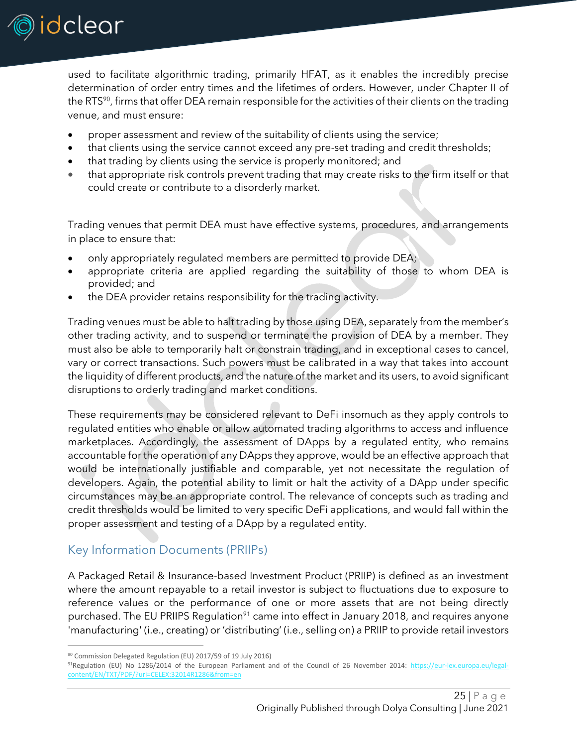

used to facilitate algorithmic trading, primarily HFAT, as it enables the incredibly precise determination of order entry times and the lifetimes of orders. However, under Chapter II of the RTS $90$ , firms that offer DEA remain responsible for the activities of their clients on the trading venue, and must ensure:

- proper assessment and review of the suitability of clients using the service;
- that clients using the service cannot exceed any pre-set trading and credit thresholds;
- that trading by clients using the service is properly monitored; and
- that appropriate risk controls prevent trading that may create risks to the firm itself or that could create or contribute to a disorderly market.

Trading venues that permit DEA must have effective systems, procedures, and arrangements in place to ensure that:

- only appropriately regulated members are permitted to provide DEA;
- appropriate criteria are applied regarding the suitability of those to whom DEA is provided; and
- the DEA provider retains responsibility for the trading activity.

Trading venues must be able to halt trading by those using DEA, separately from the member's other trading activity, and to suspend or terminate the provision of DEA by a member. They must also be able to temporarily halt or constrain trading, and in exceptional cases to cancel, vary or correct transactions. Such powers must be calibrated in a way that takes into account the liquidity of different products, and the nature of the market and its users, to avoid significant disruptions to orderly trading and market conditions.

These requirements may be considered relevant to DeFi insomuch as they apply controls to regulated entities who enable or allow automated trading algorithms to access and influence marketplaces. Accordingly, the assessment of DApps by a regulated entity, who remains accountable for the operation of any DApps they approve, would be an effective approach that would be internationally justifiable and comparable, yet not necessitate the regulation of developers. Again, the potential ability to limit or halt the activity of a DApp under specific circumstances may be an appropriate control. The relevance of concepts such as trading and credit thresholds would be limited to very specific DeFi applications, and would fall within the proper assessment and testing of a DApp by a regulated entity.

## <span id="page-25-0"></span>Key Information Documents (PRIIPs)

A Packaged Retail & Insurance-based Investment Product (PRIIP) is defined as an investment where the amount repayable to a retail investor is subject to fluctuations due to exposure to reference values or the performance of one or more assets that are not being directly purchased. The EU PRIIPS Regulation<sup>91</sup> came into effect in January 2018, and requires anyone 'manufacturing' (i.e., creating) or 'distributing' (i.e., selling on) a PRIIP to provide retail investors

<sup>90</sup> Commission Delegated Regulation (EU) 2017/59 of 19 July 2016)

<sup>91</sup>Regulation (EU) No 1286/2014 of the European Parliament and of the Council of 26 November 2014: [https://eur-lex.europa.eu/legal](https://eur-lex.europa.eu/legal-content/EN/TXT/PDF/?uri=CELEX:32014R1286&from=en)[content/EN/TXT/PDF/?uri=CELEX:32014R1286&from=en](https://eur-lex.europa.eu/legal-content/EN/TXT/PDF/?uri=CELEX:32014R1286&from=en)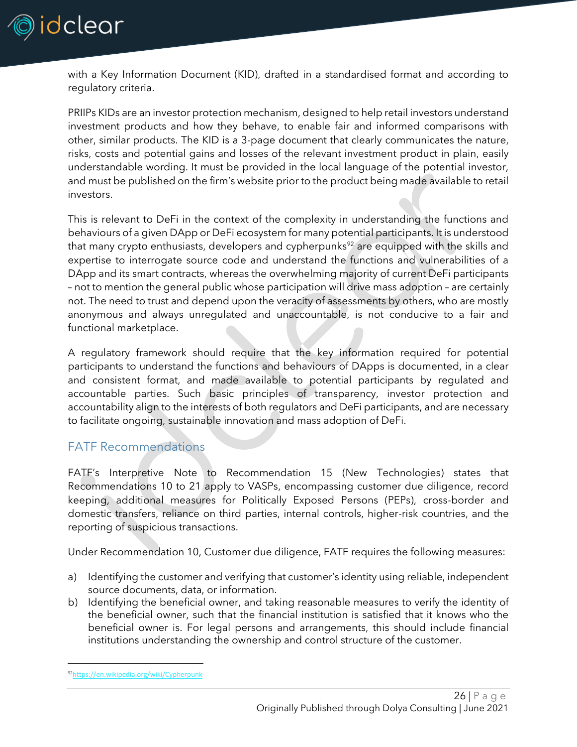

with a Key Information Document (KID), drafted in a standardised format and according to regulatory criteria.

PRIIPs KIDs are an investor protection mechanism, designed to help retail investors understand investment products and how they behave, to enable fair and informed comparisons with other, similar products. The KID is a 3-page document that clearly communicates the nature, risks, costs and potential gains and losses of the relevant investment product in plain, easily understandable wording. It must be provided in the local language of the potential investor, and must be published on the firm's website prior to the product being made available to retail investors.

This is relevant to DeFi in the context of the complexity in understanding the functions and behaviours of a given DApp or DeFi ecosystem for many potential participants. It is understood that many crypto enthusiasts, developers and cypherpunks<sup>92</sup> are equipped with the skills and expertise to interrogate source code and understand the functions and vulnerabilities of a DApp and its smart contracts, whereas the overwhelming majority of current DeFi participants – not to mention the general public whose participation will drive mass adoption – are certainly not. The need to trust and depend upon the veracity of assessments by others, who are mostly anonymous and always unregulated and unaccountable, is not conducive to a fair and functional marketplace.

A regulatory framework should require that the key information required for potential participants to understand the functions and behaviours of DApps is documented, in a clear and consistent format, and made available to potential participants by regulated and accountable parties. Such basic principles of transparency, investor protection and accountability align to the interests of both regulators and DeFi participants, and are necessary to facilitate ongoing, sustainable innovation and mass adoption of DeFi.

## <span id="page-26-0"></span>FATF Recommendations

FATF's Interpretive Note to Recommendation 15 (New Technologies) states that Recommendations 10 to 21 apply to VASPs, encompassing customer due diligence, record keeping, additional measures for Politically Exposed Persons (PEPs), cross-border and domestic transfers, reliance on third parties, internal controls, higher-risk countries, and the reporting of suspicious transactions.

Under Recommendation 10, Customer due diligence, FATF requires the following measures:

- a) Identifying the customer and verifying that customer's identity using reliable, independent source documents, data, or information.
- b) Identifying the beneficial owner, and taking reasonable measures to verify the identity of the beneficial owner, such that the financial institution is satisfied that it knows who the beneficial owner is. For legal persons and arrangements, this should include financial institutions understanding the ownership and control structure of the customer.

<sup>92</sup><https://en.wikipedia.org/wiki/Cypherpunk>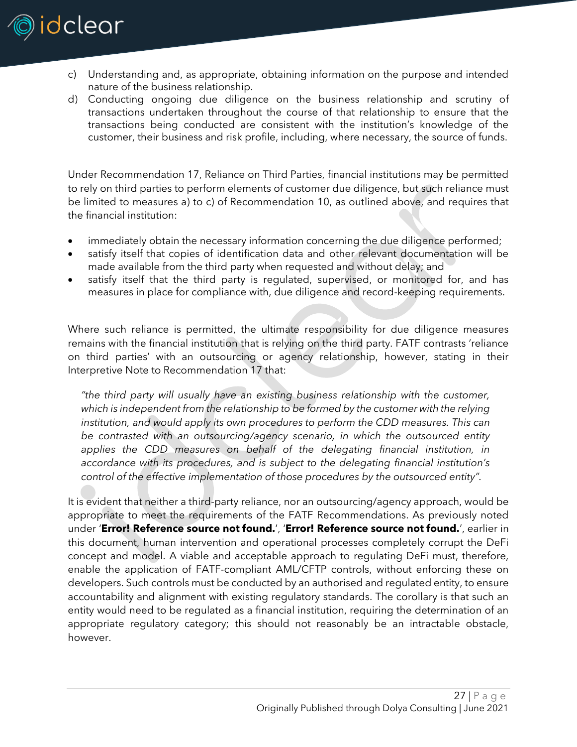

- c) Understanding and, as appropriate, obtaining information on the purpose and intended nature of the business relationship.
- d) Conducting ongoing due diligence on the business relationship and scrutiny of transactions undertaken throughout the course of that relationship to ensure that the transactions being conducted are consistent with the institution's knowledge of the customer, their business and risk profile, including, where necessary, the source of funds.

Under Recommendation 17, Reliance on Third Parties, financial institutions may be permitted to rely on third parties to perform elements of customer due diligence, but such reliance must be limited to measures a) to c) of Recommendation 10, as outlined above, and requires that the financial institution:

- immediately obtain the necessary information concerning the due diligence performed;
- satisfy itself that copies of identification data and other relevant documentation will be made available from the third party when requested and without delay; and
- satisfy itself that the third party is regulated, supervised, or monitored for, and has measures in place for compliance with, due diligence and record-keeping requirements.

Where such reliance is permitted, the ultimate responsibility for due diligence measures remains with the financial institution that is relying on the third party. FATF contrasts 'reliance on third parties' with an outsourcing or agency relationship, however, stating in their Interpretive Note to Recommendation 17 that:

*"the third party will usually have an existing business relationship with the customer, which is independent from the relationship to be formed by the customer with the relying institution, and would apply its own procedures to perform the CDD measures. This can be contrasted with an outsourcing/agency scenario, in which the outsourced entity*  applies the CDD measures on behalf of the delegating financial institution, in *accordance with its procedures, and is subject to the delegating financial institution's control of the effective implementation of those procedures by the outsourced entity".* 

It is evident that neither a third-party reliance, nor an outsourcing/agency approach, would be appropriate to meet the requirements of the FATF Recommendations. As previously noted under '**Error! Reference source not found.**', '**Error! Reference source not found.**', earlier in this document, human intervention and operational processes completely corrupt the DeFi concept and model. A viable and acceptable approach to regulating DeFi must, therefore, enable the application of FATF-compliant AML/CFTP controls, without enforcing these on developers. Such controls must be conducted by an authorised and regulated entity, to ensure accountability and alignment with existing regulatory standards. The corollary is that such an entity would need to be regulated as a financial institution, requiring the determination of an appropriate regulatory category; this should not reasonably be an intractable obstacle, however.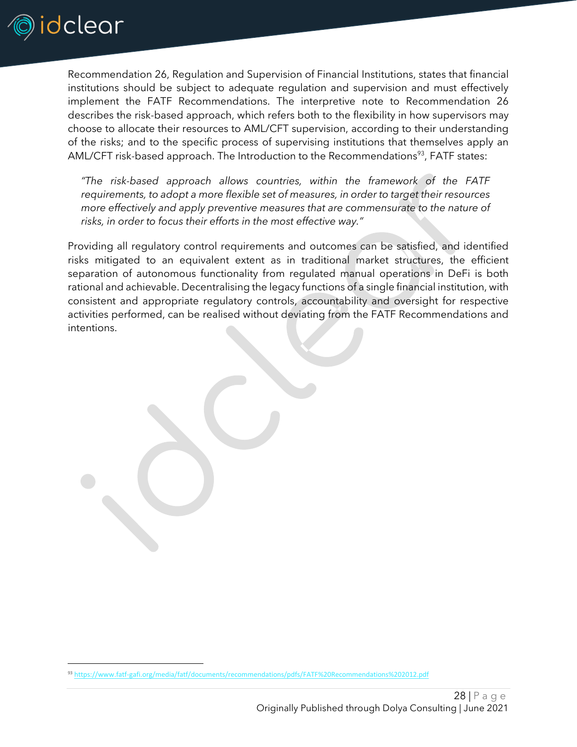

Recommendation 26, Regulation and Supervision of Financial Institutions, states that financial institutions should be subject to adequate regulation and supervision and must effectively implement the FATF Recommendations. The interpretive note to Recommendation 26 describes the risk-based approach, which refers both to the flexibility in how supervisors may choose to allocate their resources to AML/CFT supervision, according to their understanding of the risks; and to the specific process of supervising institutions that themselves apply an AML/CFT risk-based approach. The Introduction to the Recommendations<sup>93</sup>, FATF states:

*"The risk-based approach allows countries, within the framework of the FATF requirements, to adopt a more flexible set of measures, in order to target their resources more effectively and apply preventive measures that are commensurate to the nature of risks, in order to focus their efforts in the most effective way."*

Providing all regulatory control requirements and outcomes can be satisfied, and identified risks mitigated to an equivalent extent as in traditional market structures, the efficient separation of autonomous functionality from regulated manual operations in DeFi is both rational and achievable. Decentralising the legacy functions of a single financial institution, with consistent and appropriate regulatory controls, accountability and oversight for respective activities performed, can be realised without deviating from the FATF Recommendations and intentions.

<sup>93</sup> <https://www.fatf-gafi.org/media/fatf/documents/recommendations/pdfs/FATF%20Recommendations%202012.pdf>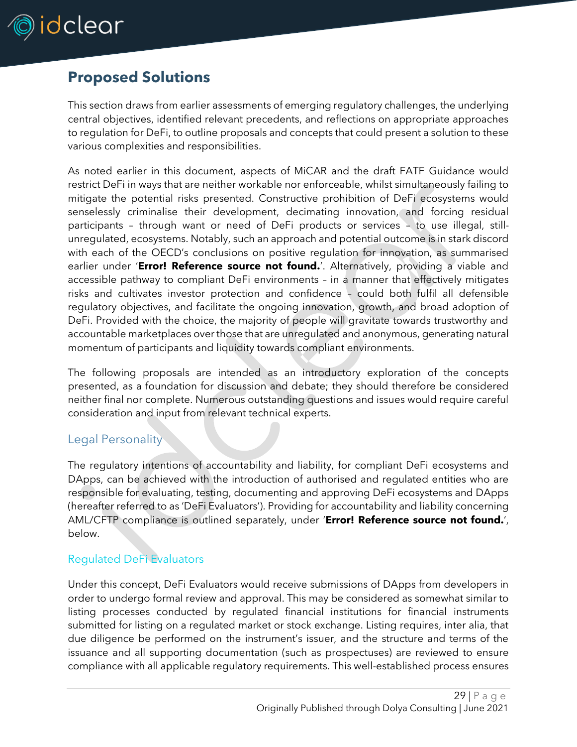

# <span id="page-29-0"></span>**Proposed Solutions**

This section draws from earlier assessments of emerging regulatory challenges, the underlying central objectives, identified relevant precedents, and reflections on appropriate approaches to regulation for DeFi, to outline proposals and concepts that could present a solution to these various complexities and responsibilities.

As noted earlier in this document, aspects of MiCAR and the draft FATF Guidance would restrict DeFi in ways that are neither workable nor enforceable, whilst simultaneously failing to mitigate the potential risks presented. Constructive prohibition of DeFi ecosystems would senselessly criminalise their development, decimating innovation, and forcing residual participants – through want or need of DeFi products or services – to use illegal, stillunregulated, ecosystems. Notably, such an approach and potential outcome is in stark discord with each of the OECD's conclusions on positive regulation for innovation, as summarised earlier under '**Error! Reference source not found.**'. Alternatively, providing a viable and accessible pathway to compliant DeFi environments – in a manner that effectively mitigates risks and cultivates investor protection and confidence – could both fulfil all defensible regulatory objectives, and facilitate the ongoing innovation, growth, and broad adoption of DeFi. Provided with the choice, the majority of people will gravitate towards trustworthy and accountable marketplaces over those that are unregulated and anonymous, generating natural momentum of participants and liquidity towards compliant environments.

The following proposals are intended as an introductory exploration of the concepts presented, as a foundation for discussion and debate; they should therefore be considered neither final nor complete. Numerous outstanding questions and issues would require careful consideration and input from relevant technical experts.

## <span id="page-29-1"></span>Legal Personality

The regulatory intentions of accountability and liability, for compliant DeFi ecosystems and DApps, can be achieved with the introduction of authorised and regulated entities who are responsible for evaluating, testing, documenting and approving DeFi ecosystems and DApps (hereafter referred to as 'DeFi Evaluators'). Providing for accountability and liability concerning AML/CFTP compliance is outlined separately, under '**Error! Reference source not found.**', below.

#### <span id="page-29-2"></span>Regulated DeFi Evaluators

Under this concept, DeFi Evaluators would receive submissions of DApps from developers in order to undergo formal review and approval. This may be considered as somewhat similar to listing processes conducted by regulated financial institutions for financial instruments submitted for listing on a regulated market or stock exchange. Listing requires, inter alia, that due diligence be performed on the instrument's issuer, and the structure and terms of the issuance and all supporting documentation (such as prospectuses) are reviewed to ensure compliance with all applicable regulatory requirements. This well-established process ensures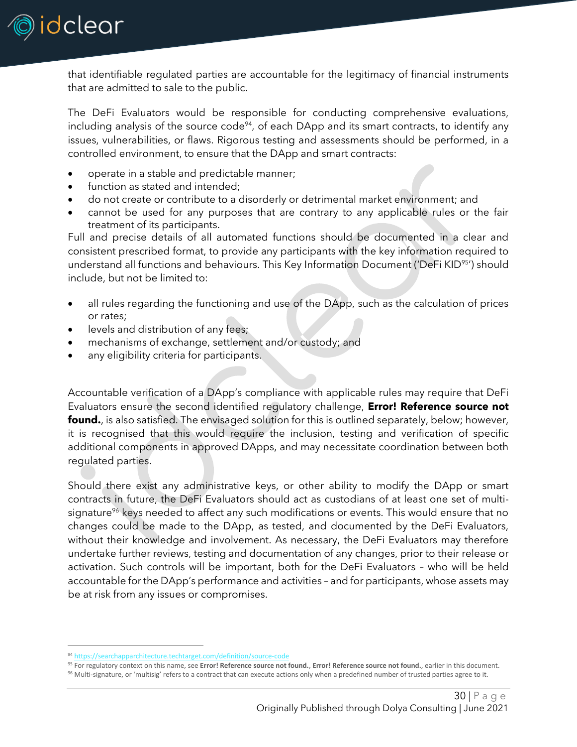

that identifiable regulated parties are accountable for the legitimacy of financial instruments that are admitted to sale to the public.

The DeFi Evaluators would be responsible for conducting comprehensive evaluations, including analysis of the source code<sup>94</sup>, of each DApp and its smart contracts, to identify any issues, vulnerabilities, or flaws. Rigorous testing and assessments should be performed, in a controlled environment, to ensure that the DApp and smart contracts:

- operate in a stable and predictable manner;
- function as stated and intended;
- do not create or contribute to a disorderly or detrimental market environment; and
- cannot be used for any purposes that are contrary to any applicable rules or the fair treatment of its participants.

Full and precise details of all automated functions should be documented in a clear and consistent prescribed format, to provide any participants with the key information required to understand all functions and behaviours. This Key Information Document ('DeFi KID<sup>95'</sup>) should include, but not be limited to:

- all rules regarding the functioning and use of the DApp, such as the calculation of prices or rates;
- levels and distribution of any fees;
- mechanisms of exchange, settlement and/or custody; and
- any eligibility criteria for participants.

Accountable verification of a DApp's compliance with applicable rules may require that DeFi Evaluators ensure the second identified regulatory challenge, **Error! Reference source not found.**, is also satisfied. The envisaged solution for this is outlined separately, below; however, it is recognised that this would require the inclusion, testing and verification of specific additional components in approved DApps, and may necessitate coordination between both regulated parties.

Should there exist any administrative keys, or other ability to modify the DApp or smart contracts in future, the DeFi Evaluators should act as custodians of at least one set of multisignature<sup>96</sup> keys needed to affect any such modifications or events. This would ensure that no changes could be made to the DApp, as tested, and documented by the DeFi Evaluators, without their knowledge and involvement. As necessary, the DeFi Evaluators may therefore undertake further reviews, testing and documentation of any changes, prior to their release or activation. Such controls will be important, both for the DeFi Evaluators – who will be held accountable for the DApp's performance and activities – and for participants, whose assets may be at risk from any issues or compromises.

<sup>94</sup> <https://searchapparchitecture.techtarget.com/definition/source-code>

<sup>95</sup> For regulatory context on this name, see **Error! Reference source not found.**, **Error! Reference source not found.**, earlier in this document. 96 Multi-signature, or 'multisig' refers to a contract that can execute actions only when a predefined number of trusted parties agree to it.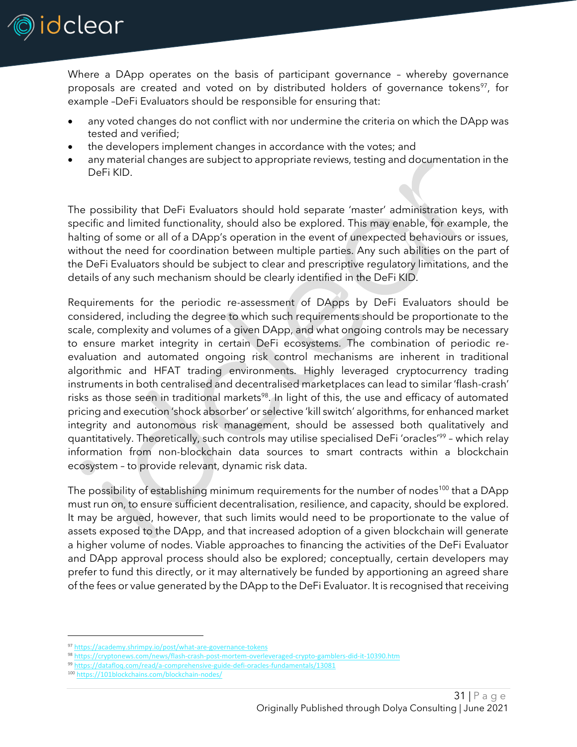

Where a DApp operates on the basis of participant governance – whereby governance proposals are created and voted on by distributed holders of governance tokens<sup>97</sup>, for example –DeFi Evaluators should be responsible for ensuring that:

- any voted changes do not conflict with nor undermine the criteria on which the DApp was tested and verified;
- the developers implement changes in accordance with the votes; and
- any material changes are subject to appropriate reviews, testing and documentation in the DeFi KID.

The possibility that DeFi Evaluators should hold separate 'master' administration keys, with specific and limited functionality, should also be explored. This may enable, for example, the halting of some or all of a DApp's operation in the event of unexpected behaviours or issues, without the need for coordination between multiple parties. Any such abilities on the part of the DeFi Evaluators should be subject to clear and prescriptive regulatory limitations, and the details of any such mechanism should be clearly identified in the DeFi KID.

Requirements for the periodic re-assessment of DApps by DeFi Evaluators should be considered, including the degree to which such requirements should be proportionate to the scale, complexity and volumes of a given DApp, and what ongoing controls may be necessary to ensure market integrity in certain DeFi ecosystems. The combination of periodic reevaluation and automated ongoing risk control mechanisms are inherent in traditional algorithmic and HFAT trading environments. Highly leveraged cryptocurrency trading instruments in both centralised and decentralised marketplaces can lead to similar 'flash-crash' risks as those seen in traditional markets<sup>98</sup>. In light of this, the use and efficacy of automated pricing and execution 'shock absorber' or selective 'kill switch' algorithms, for enhanced market integrity and autonomous risk management, should be assessed both qualitatively and quantitatively. Theoretically, such controls may utilise specialised DeFi 'oracles'<sup>99</sup> - which relay information from non-blockchain data sources to smart contracts within a blockchain ecosystem – to provide relevant, dynamic risk data.

The possibility of establishing minimum requirements for the number of nodes<sup>100</sup> that a DApp must run on, to ensure sufficient decentralisation, resilience, and capacity, should be explored. It may be argued, however, that such limits would need to be proportionate to the value of assets exposed to the DApp, and that increased adoption of a given blockchain will generate a higher volume of nodes. Viable approaches to financing the activities of the DeFi Evaluator and DApp approval process should also be explored; conceptually, certain developers may prefer to fund this directly, or it may alternatively be funded by apportioning an agreed share of the fees or value generated by the DApp to the DeFi Evaluator. It is recognised that receiving

<sup>97</sup> <https://academy.shrimpy.io/post/what-are-governance-tokens>

<sup>98</sup> <https://cryptonews.com/news/flash-crash-post-mortem-overleveraged-crypto-gamblers-did-it-10390.htm>

<sup>99</sup> <https://datafloq.com/read/a-comprehensive-guide-defi-oracles-fundamentals/13081>

<sup>100</sup> <https://101blockchains.com/blockchain-nodes/>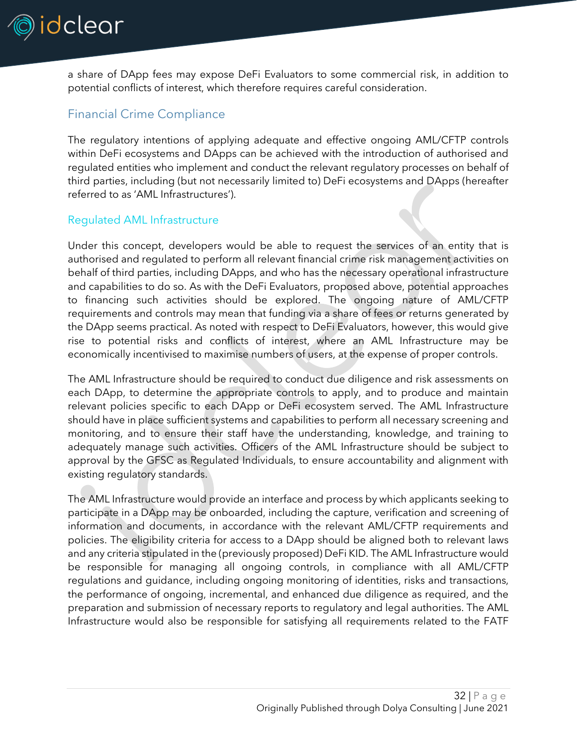

a share of DApp fees may expose DeFi Evaluators to some commercial risk, in addition to potential conflicts of interest, which therefore requires careful consideration.

## <span id="page-32-0"></span>Financial Crime Compliance

The regulatory intentions of applying adequate and effective ongoing AML/CFTP controls within DeFi ecosystems and DApps can be achieved with the introduction of authorised and regulated entities who implement and conduct the relevant regulatory processes on behalf of third parties, including (but not necessarily limited to) DeFi ecosystems and DApps (hereafter referred to as 'AML Infrastructures').

#### <span id="page-32-1"></span>Regulated AML Infrastructure

Under this concept, developers would be able to request the services of an entity that is authorised and regulated to perform all relevant financial crime risk management activities on behalf of third parties, including DApps, and who has the necessary operational infrastructure and capabilities to do so. As with the DeFi Evaluators, proposed above, potential approaches to financing such activities should be explored. The ongoing nature of AML/CFTP requirements and controls may mean that funding via a share of fees or returns generated by the DApp seems practical. As noted with respect to DeFi Evaluators, however, this would give rise to potential risks and conflicts of interest, where an AML Infrastructure may be economically incentivised to maximise numbers of users, at the expense of proper controls.

The AML Infrastructure should be required to conduct due diligence and risk assessments on each DApp, to determine the appropriate controls to apply, and to produce and maintain relevant policies specific to each DApp or DeFi ecosystem served. The AML Infrastructure should have in place sufficient systems and capabilities to perform all necessary screening and monitoring, and to ensure their staff have the understanding, knowledge, and training to adequately manage such activities. Officers of the AML Infrastructure should be subject to approval by the GFSC as Regulated Individuals, to ensure accountability and alignment with existing regulatory standards.

The AML Infrastructure would provide an interface and process by which applicants seeking to participate in a DApp may be onboarded, including the capture, verification and screening of information and documents, in accordance with the relevant AML/CFTP requirements and policies. The eligibility criteria for access to a DApp should be aligned both to relevant laws and any criteria stipulated in the (previously proposed) DeFi KID. The AML Infrastructure would be responsible for managing all ongoing controls, in compliance with all AML/CFTP regulations and guidance, including ongoing monitoring of identities, risks and transactions, the performance of ongoing, incremental, and enhanced due diligence as required, and the preparation and submission of necessary reports to regulatory and legal authorities. The AML Infrastructure would also be responsible for satisfying all requirements related to the FATF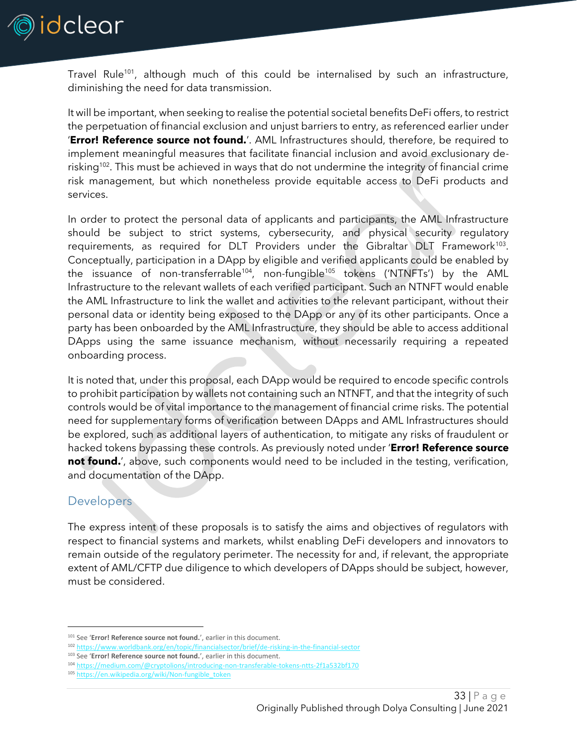

Travel Rule<sup>101</sup>, although much of this could be internalised by such an infrastructure, diminishing the need for data transmission.

It will be important, when seeking to realise the potential societal benefits DeFi offers, to restrict the perpetuation of financial exclusion and unjust barriers to entry, as referenced earlier under '**Error! Reference source not found.**'. AML Infrastructures should, therefore, be required to implement meaningful measures that facilitate financial inclusion and avoid exclusionary derisking<sup>102</sup>. This must be achieved in ways that do not undermine the integrity of financial crime risk management, but which nonetheless provide equitable access to DeFi products and services.

In order to protect the personal data of applicants and participants, the AML Infrastructure should be subject to strict systems, cybersecurity, and physical security regulatory requirements, as required for DLT Providers under the Gibraltar DLT Framework<sup>103</sup>. Conceptually, participation in a DApp by eligible and verified applicants could be enabled by the issuance of non-transferrable<sup>104</sup>, non-fungible<sup>105</sup> tokens ('NTNFTs') by the AML Infrastructure to the relevant wallets of each verified participant. Such an NTNFT would enable the AML Infrastructure to link the wallet and activities to the relevant participant, without their personal data or identity being exposed to the DApp or any of its other participants. Once a party has been onboarded by the AML Infrastructure, they should be able to access additional DApps using the same issuance mechanism, without necessarily requiring a repeated onboarding process.

It is noted that, under this proposal, each DApp would be required to encode specific controls to prohibit participation by wallets not containing such an NTNFT, and that the integrity of such controls would be of vital importance to the management of financial crime risks. The potential need for supplementary forms of verification between DApps and AML Infrastructures should be explored, such as additional layers of authentication, to mitigate any risks of fraudulent or hacked tokens bypassing these controls. As previously noted under '**Error! Reference source**  not found.', above, such components would need to be included in the testing, verification, and documentation of the DApp.

#### <span id="page-33-0"></span>**Developers**

The express intent of these proposals is to satisfy the aims and objectives of regulators with respect to financial systems and markets, whilst enabling DeFi developers and innovators to remain outside of the regulatory perimeter. The necessity for and, if relevant, the appropriate extent of AML/CFTP due diligence to which developers of DApps should be subject, however, must be considered.

<sup>101</sup> See '**Error! Reference source not found.**', earlier in this document.

<sup>102</sup> <https://www.worldbank.org/en/topic/financialsector/brief/de-risking-in-the-financial-sector>

<sup>103</sup> See '**Error! Reference source not found.**', earlier in this document.

<sup>104</sup> <https://medium.com/@cryptolions/introducing-non-transferable-tokens-ntts-2f1a532bf170>

<sup>105</sup> [https://en.wikipedia.org/wiki/Non-fungible\\_token](https://en.wikipedia.org/wiki/Non-fungible_token)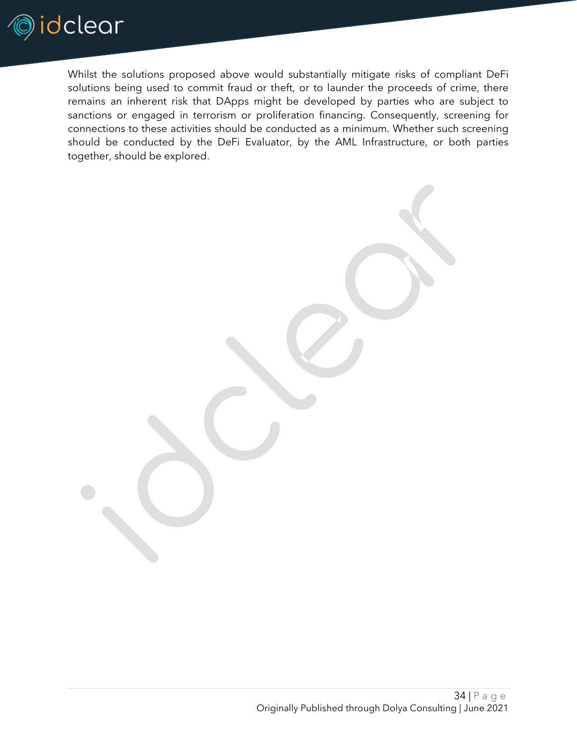

Whilst the solutions proposed above would substantially mitigate risks of compliant DeFi solutions being used to commit fraud or theft, or to launder the proceeds of crime, there remains an inherent risk that DApps might be developed by parties who are subject to sanctions or engaged in terrorism or proliferation financing. Consequently, screening for connections to these activities should be conducted as a minimum. Whether such screening should be conducted by the DeFi Evaluator, by the AML Infrastructure, or both parties together, should be explored.